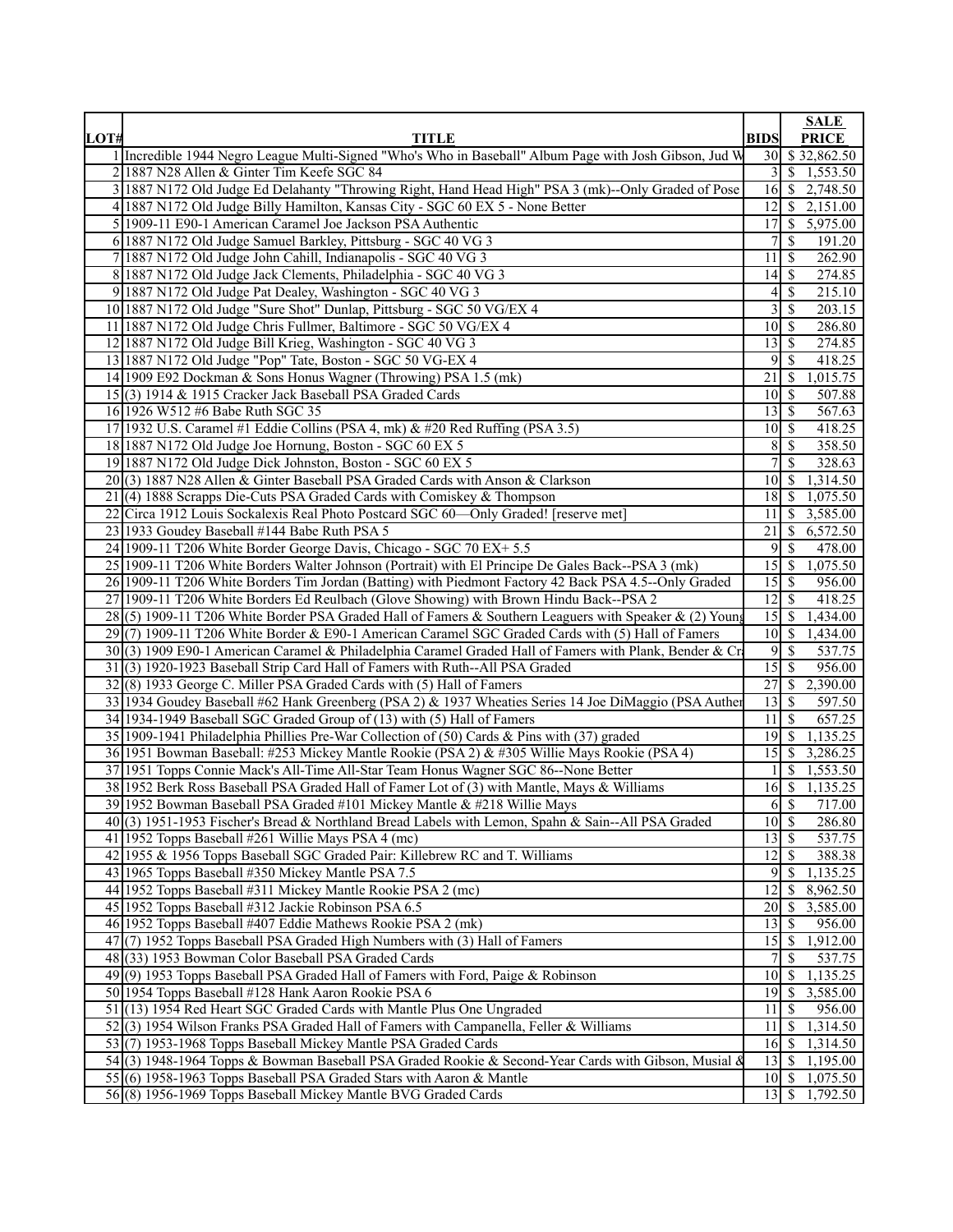|      |                                                                                                        |                                  | <b>SALE</b>                                             |
|------|--------------------------------------------------------------------------------------------------------|----------------------------------|---------------------------------------------------------|
| LOT# | <b>TITLE</b>                                                                                           | <b>BIDS</b>                      | <b>PRICE</b>                                            |
|      | 1 Incredible 1944 Negro League Multi-Signed "Who's Who in Baseball" Album Page with Josh Gibson, Jud W |                                  | 30 \$32,862.50                                          |
|      | 2 1887 N28 Allen & Ginter Tim Keefe SGC 84                                                             |                                  | $\overline{3}$ \ $\overline{3}$ \ $\overline{1,553.50}$ |
|      | 3 1887 N172 Old Judge Ed Delahanty "Throwing Right, Hand Head High" PSA 3 (mk)--Only Graded of Pose    |                                  | 16 \$ 2,748.50                                          |
|      | 4 1887 N172 Old Judge Billy Hamilton, Kansas City - SGC 60 EX 5 - None Better                          | 12                               | \$2,151.00                                              |
|      | 5 1909-11 E90-1 American Caramel Joe Jackson PSA Authentic                                             |                                  | $\overline{17}$ \$ 5,975.00                             |
|      | 6 1887 N172 Old Judge Samuel Barkley, Pittsburg - SGC 40 VG 3                                          | 7 <sup>1</sup>                   | <sup>\$</sup><br>191.20                                 |
|      | 7 1887 N172 Old Judge John Cahill, Indianapolis - SGC 40 VG 3                                          | 11 <sup>1</sup>                  | 262.90<br>-S                                            |
|      | 8 1887 N172 Old Judge Jack Clements, Philadelphia - SGC 40 VG 3                                        | 14                               | <sup>\$</sup><br>274.85                                 |
|      | 9 1887 N172 Old Judge Pat Dealey, Washington - SGC 40 VG 3                                             | $\vert 4 \vert$                  | <sup>\$</sup><br>215.10                                 |
|      | 10 1887 N172 Old Judge "Sure Shot" Dunlap, Pittsburg - SGC 50 VG/EX 4                                  | $\frac{3}{ }$                    | 203.15<br>-S                                            |
|      | 11 1887 N172 Old Judge Chris Fullmer, Baltimore - SGC 50 VG/EX 4                                       | $10 \mid S$                      | 286.80                                                  |
|      | 12 1887 N172 Old Judge Bill Krieg, Washington - SGC 40 VG 3                                            | 13                               | <sup>\$</sup><br>274.85                                 |
|      | 13 1887 N172 Old Judge "Pop" Tate, Boston - SGC 50 VG-EX 4                                             |                                  | 95<br>418.25                                            |
|      | 14 1909 E92 Dockman & Sons Honus Wagner (Throwing) PSA 1.5 (mk)                                        | $21 \mid$ \$                     | 1,015.75                                                |
|      |                                                                                                        |                                  |                                                         |
|      | 15(3) 1914 & 1915 Cracker Jack Baseball PSA Graded Cards                                               | 10 <sup>1</sup>                  | 507.88<br><sup>\$</sup>                                 |
|      | 16 1926 W512 #6 Babe Ruth SGC 35                                                                       | $\overline{13}$ \$               | 567.63                                                  |
|      | 17 1932 U.S. Caramel #1 Eddie Collins (PSA 4, mk) & #20 Red Ruffing (PSA 3.5)                          | $10$ $\sqrt{5}$                  | 418.25                                                  |
|      | 18 1887 N172 Old Judge Joe Hornung, Boston - SGC 60 EX 5                                               | 8 <sup>1</sup>                   | <sup>\$</sup><br>358.50                                 |
|      | 19 1887 N172 Old Judge Dick Johnston, Boston - SGC 60 EX 5                                             | $7\vert$                         | <sup>\$</sup><br>328.63                                 |
|      | 20(3) 1887 N28 Allen & Ginter Baseball PSA Graded Cards with Anson & Clarkson                          | $10\vert S$                      | 1,314.50                                                |
|      | $21(4)$ 1888 Scrapps Die-Cuts PSA Graded Cards with Comiskey & Thompson                                |                                  | 18 \$ 1,075.50                                          |
|      | 22 Circa 1912 Louis Sockalexis Real Photo Postcard SGC 60-Only Graded! [reserve met]                   |                                  | $11 \mid $3,585.00$                                     |
|      | 23 1933 Goudey Baseball #144 Babe Ruth PSA 5                                                           |                                  | 21 \ \$ 6,572.50                                        |
|      | 24 1909-11 T206 White Border George Davis, Chicago - SGC 70 EX+ 5.5                                    | $\overline{9}$                   | <sup>S</sup><br>478.00                                  |
|      | 25 1909-11 T206 White Borders Walter Johnson (Portrait) with El Principe De Gales Back--PSA 3 (mk)     | 15S                              | 1,075.50                                                |
|      | 26 1909-11 T206 White Borders Tim Jordan (Batting) with Piedmont Factory 42 Back PSA 4.5--Only Graded  | 15                               | <sup>\$</sup><br>956.00                                 |
|      | 27 1909-11 T206 White Borders Ed Reulbach (Glove Showing) with Brown Hindu Back--PSA 2                 | $\overline{12}$ \$               | 418.25                                                  |
|      | 28(5) 1909-11 T206 White Border PSA Graded Hall of Famers & Southern Leaguers with Speaker & (2) Young | 15S                              | 1,434.00                                                |
|      | 29 (7) 1909-11 T206 White Border & E90-1 American Caramel SGC Graded Cards with (5) Hall of Famers     | $10 \mid \text{\AA}$             | 1,434.00                                                |
|      | 30(3) 1909 E90-1 American Caramel & Philadelphia Caramel Graded Hall of Famers with Plank, Bender & Cr | 9                                | <sup>\$</sup><br>537.75                                 |
|      | 31(3) 1920-1923 Baseball Strip Card Hall of Famers with Ruth--All PSA Graded                           | $15 \overline{\smash{\big)}\ 5}$ | 956.00                                                  |
|      | 32(8) 1933 George C. Miller PSA Graded Cards with (5) Hall of Famers                                   | 27S                              | 2,390.00                                                |
|      | 33 1934 Goudey Baseball #62 Hank Greenberg (PSA 2) & 1937 Wheaties Series 14 Joe DiMaggio (PSA Auther  | 13                               | <sup>\$</sup><br>597.50                                 |
|      | 34 1934-1949 Baseball SGC Graded Group of (13) with (5) Hall of Famers                                 | $11 \mid$ \$                     | 657.25                                                  |
|      | 35 1909-1941 Philadelphia Phillies Pre-War Collection of (50) Cards & Pins with (37) graded            |                                  | $\overline{19}$ \$ 1,135.25                             |
|      | 36 1951 Bowman Baseball: #253 Mickey Mantle Rookie (PSA 2) & #305 Willie Mays Rookie (PSA 4)           |                                  | $15 \quad $3,286.25$                                    |
|      | 37 1951 Topps Connie Mack's All-Time All-Star Team Honus Wagner SGC 86--None Better                    |                                  | \$1,553.50                                              |
|      | 38 1952 Berk Ross Baseball PSA Graded Hall of Famer Lot of (3) with Mantle, Mays & Williams            |                                  | 16 \$ 1,135.25                                          |
|      | 39 1952 Bowman Baseball PSA Graded #101 Mickey Mantle & #218 Willie Mays                               |                                  | $6 \mid$ \$<br>717.00                                   |
|      | 40(3) 1951-1953 Fischer's Bread & Northland Bread Labels with Lemon, Spahn & Sain--All PSA Graded      | $10 \mid$ \$                     | 286.80                                                  |
|      | 41 1952 Topps Baseball #261 Willie Mays PSA 4 (mc)                                                     | $\overline{13}$ \$               | 537.75                                                  |
|      | 42 1955 & 1956 Topps Baseball SGC Graded Pair: Killebrew RC and T. Williams                            | $12 \mid$ \$                     | 388.38                                                  |
|      | 43 1965 Topps Baseball #350 Mickey Mantle PSA 7.5                                                      |                                  | $9 \mid 1,135.25$                                       |
|      | 44 1952 Topps Baseball #311 Mickey Mantle Rookie PSA 2 (mc)                                            | $12 \mid$ \$                     | 8,962.50                                                |
|      | 45 1952 Topps Baseball #312 Jackie Robinson PSA 6.5                                                    |                                  | 20 \$ 3,585.00                                          |
|      | 46 1952 Topps Baseball #407 Eddie Mathews Rookie PSA 2 (mk)                                            | $13 \mid$ \$                     | 956.00                                                  |
|      | 47(7) 1952 Topps Baseball PSA Graded High Numbers with (3) Hall of Famers                              |                                  | 15 \$ 1,912.00                                          |
|      | 48 (33) 1953 Bowman Color Baseball PSA Graded Cards                                                    |                                  | 7s<br>537.75                                            |
|      | $49(9)$ 1953 Topps Baseball PSA Graded Hall of Famers with Ford, Paige & Robinson                      | $10\overline{\smash{)}\,}$       | 1,135.25                                                |
|      | 50 1954 Topps Baseball #128 Hank Aaron Rookie PSA 6                                                    |                                  | 19 \$ 3,585.00                                          |
|      | 51 (13) 1954 Red Heart SGC Graded Cards with Mantle Plus One Ungraded                                  | $11 \mid$ \$                     | 956.00                                                  |
|      | $52(3)$ 1954 Wilson Franks PSA Graded Hall of Famers with Campanella, Feller & Williams                |                                  | $\overline{11}$ \$ 1,314.50                             |
|      | 53(7) 1953-1968 Topps Baseball Mickey Mantle PSA Graded Cards                                          |                                  | 16 \$ 1,314.50                                          |
|      | 54 (3) 1948-1964 Topps & Bowman Baseball PSA Graded Rookie & Second-Year Cards with Gibson, Musial &   |                                  | $13 \mid 1,195.00$                                      |
|      | 55(6) 1958-1963 Topps Baseball PSA Graded Stars with Aaron & Mantle                                    |                                  | $\overline{10}$ \$ 1,075.50                             |
|      | 56(8) 1956-1969 Topps Baseball Mickey Mantle BVG Graded Cards                                          |                                  | $13 \mid $1,792.50$                                     |
|      |                                                                                                        |                                  |                                                         |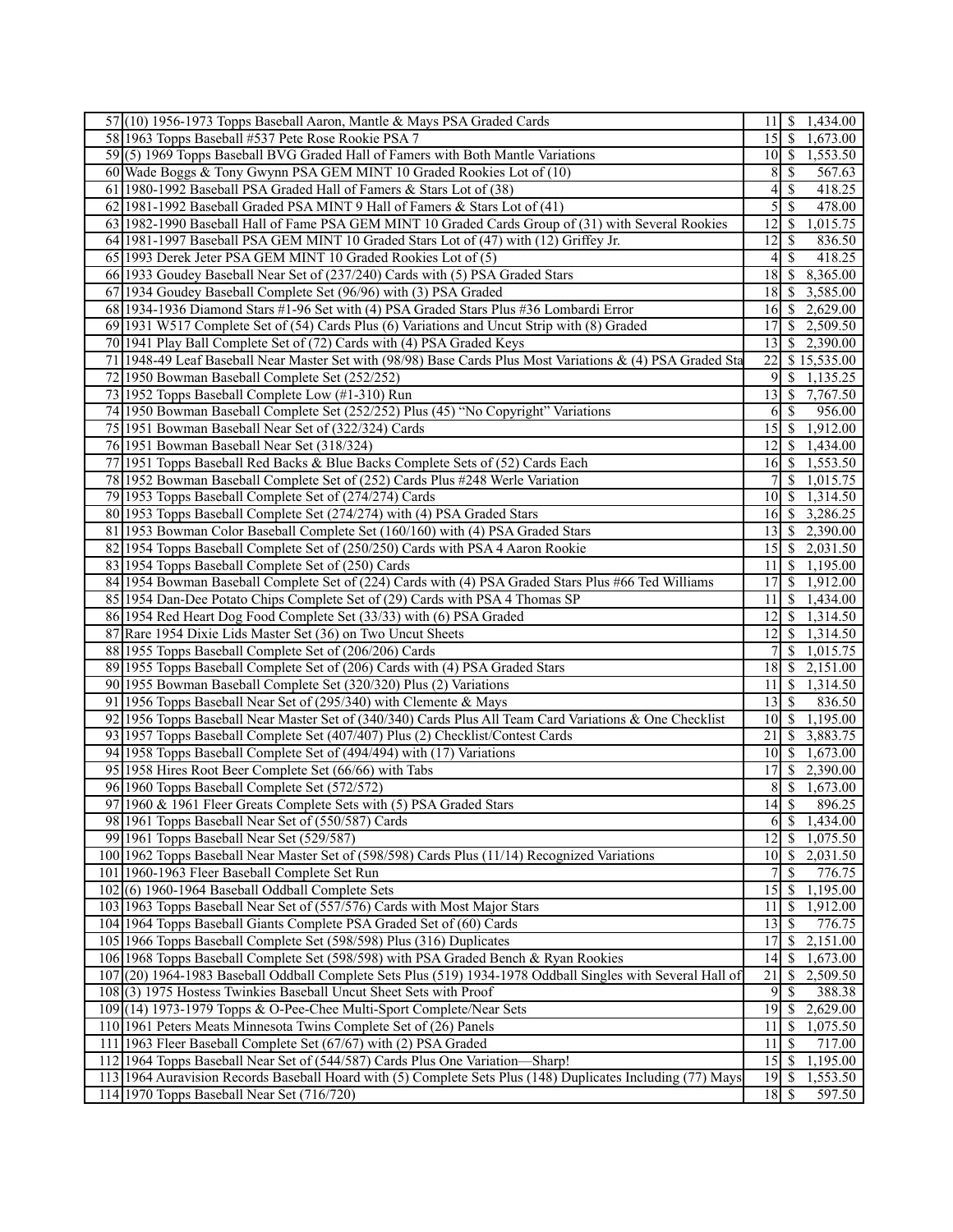| 57(10) 1956-1973 Topps Baseball Aaron, Mantle & Mays PSA Graded Cards                                       | $11 \mid $1,434.00$                              |  |
|-------------------------------------------------------------------------------------------------------------|--------------------------------------------------|--|
| 58 1963 Topps Baseball #537 Pete Rose Rookie PSA 7                                                          | 15 \$ 1,673.00                                   |  |
| 59(5) 1969 Topps Baseball BVG Graded Hall of Famers with Both Mantle Variations                             | $\overline{10}$ \$ 1,553.50                      |  |
| 60 Wade Boggs & Tony Gwynn PSA GEM MINT 10 Graded Rookies Lot of (10)                                       | 8<br><sup>\$</sup><br>567.63                     |  |
| 61 1980-1992 Baseball PSA Graded Hall of Famers & Stars Lot of (38)                                         | $\mathbb{S}$<br>4<br>418.25                      |  |
| 62 1981-1992 Baseball Graded PSA MINT 9 Hall of Famers & Stars Lot of (41)                                  | 5<br>$\overline{\mathcal{S}}$<br>478.00          |  |
| 63 1982-1990 Baseball Hall of Fame PSA GEM MINT 10 Graded Cards Group of (31) with Several Rookies          | $\overline{12}$ \ \$ 1,015.75                    |  |
| 64 1981-1997 Baseball PSA GEM MINT 10 Graded Stars Lot of (47) with (12) Griffey Jr.                        | 12 <br>$\mathcal{S}$<br>836.50                   |  |
| 65 1993 Derek Jeter PSA GEM MINT 10 Graded Rookies Lot of (5)                                               | $\mathbb{S}$<br>4 <sup>1</sup><br>418.25         |  |
| 66 1933 Goudey Baseball Near Set of (237/240) Cards with (5) PSA Graded Stars                               | 18 \$ 8,365.00                                   |  |
| 67 1934 Goudey Baseball Complete Set (96/96) with (3) PSA Graded                                            | $\overline{18}$ \ \$ 3,585.00                    |  |
| 68 1934-1936 Diamond Stars #1-96 Set with (4) PSA Graded Stars Plus #36 Lombardi Error                      | $16 \mid $2,629.00$                              |  |
| 69 1931 W517 Complete Set of (54) Cards Plus (6) Variations and Uncut Strip with (8) Graded                 | 17 \$ 2,509.50                                   |  |
|                                                                                                             |                                                  |  |
| 70 1941 Play Ball Complete Set of (72) Cards with (4) PSA Graded Keys                                       | 13 \$ 2,390.00                                   |  |
| 71 1948-49 Leaf Baseball Near Master Set with (98/98) Base Cards Plus Most Variations & (4) PSA Graded Sta  | 22 \$15,535.00                                   |  |
| 72 1950 Bowman Baseball Complete Set (252/252)                                                              | $\overline{9}$<br>\$1,135.25                     |  |
| 73 1952 Topps Baseball Complete Low (#1-310) Run                                                            | 13<br>\$7,767.50                                 |  |
| 74 1950 Bowman Baseball Complete Set (252/252) Plus (45) "No Copyright" Variations                          | <sup>S</sup><br><sup>6</sup><br>956.00           |  |
| 75 1951 Bowman Baseball Near Set of (322/324) Cards                                                         | $\overline{15}$ \ $\overline{\$}$ 1,912.00       |  |
| 76 1951 Bowman Baseball Near Set (318/324)                                                                  | $12 \mid$ \$ 1,434.00                            |  |
| 77 1951 Topps Baseball Red Backs & Blue Backs Complete Sets of (52) Cards Each                              | $\overline{16}$ \$ 1,553.50                      |  |
| 78 1952 Bowman Baseball Complete Set of (252) Cards Plus #248 Werle Variation                               | $\overline{S}$ 1,015.75<br>7                     |  |
| 79 1953 Topps Baseball Complete Set of (274/274) Cards                                                      | 10 \$ 1,314.50                                   |  |
| 80 1953 Topps Baseball Complete Set (274/274) with (4) PSA Graded Stars                                     | $\overline{16}$ \ \$ 3,286.25                    |  |
| 81 1953 Bowman Color Baseball Complete Set (160/160) with (4) PSA Graded Stars                              | $13 \begin{array}{ l} 3 & 2,390.00 \end{array}$  |  |
| 82 1954 Topps Baseball Complete Set of (250/250) Cards with PSA 4 Aaron Rookie                              | 15 \$ 2,031.50                                   |  |
| 83 1954 Topps Baseball Complete Set of (250) Cards                                                          | $\overline{11}$ \$ 1,195.00                      |  |
| 84 1954 Bowman Baseball Complete Set of (224) Cards with (4) PSA Graded Stars Plus #66 Ted Williams         | 17<br>\$1,912.00                                 |  |
| 85 1954 Dan-Dee Potato Chips Complete Set of (29) Cards with PSA 4 Thomas SP                                | 11<br>\$1,434.00                                 |  |
| 86 1954 Red Heart Dog Food Complete Set (33/33) with (6) PSA Graded                                         | $\overline{12}$ \ $\overline{\phantom{1}314.50}$ |  |
| 87 Rare 1954 Dixie Lids Master Set (36) on Two Uncut Sheets                                                 | $\overline{\$}$ 1,314.50<br>12                   |  |
| 88 1955 Topps Baseball Complete Set of (206/206) Cards                                                      | 7 <sup>1</sup><br>$\frac{1}{2}$ 1,015.75         |  |
| 89 1955 Topps Baseball Complete Set of (206) Cards with (4) PSA Graded Stars                                | $\overline{18}$ \ \$ 2,151.00                    |  |
| 90 1955 Bowman Baseball Complete Set (320/320) Plus (2) Variations                                          | \$1,314.50<br>11 I                               |  |
| 91 1956 Topps Baseball Near Set of (295/340) with Clemente & Mays                                           | $13 \mid$ \$<br>836.50                           |  |
| 92 1956 Topps Baseball Near Master Set of (340/340) Cards Plus All Team Card Variations & One Checklist     | $10 \mid $1,195.00$                              |  |
| 93 1957 Topps Baseball Complete Set (407/407) Plus (2) Checklist/Contest Cards                              | $\overline{21}$ \$ 3,883.75                      |  |
| 94 1958 Topps Baseball Complete Set of (494/494) with (17) Variations                                       | $\overline{10}$ \$ 1,673.00                      |  |
| 95 1958 Hires Root Beer Complete Set (66/66) with Tabs                                                      | \$2,390.00<br>17 <sup>1</sup>                    |  |
| 96 1960 Topps Baseball Complete Set (572/572)                                                               | 1,673.00<br>8<br>-S                              |  |
| 97 1960 & 1961 Fleer Greats Complete Sets with (5) PSA Graded Stars                                         | $\overline{14}$ \$<br>896.25                     |  |
| 98 1961 Topps Baseball Near Set of (550/587) Cards                                                          | $6 \mid $1,434.00$                               |  |
| 99 1961 Topps Baseball Near Set (529/587)                                                                   | $\overline{1,075.50}$<br> 12                     |  |
| 100 1962 Topps Baseball Near Master Set of (598/598) Cards Plus (11/14) Recognized Variations               | $10 \begin{array}{ c} 3 \\ 2,031.50 \end{array}$ |  |
| 101 1960-1963 Fleer Baseball Complete Set Run                                                               | \$<br>776.75<br>7                                |  |
| $102(6)$ 1960-1964 Baseball Oddball Complete Sets                                                           | 15<br>\$1,195.00                                 |  |
| 103 1963 Topps Baseball Near Set of (557/576) Cards with Most Major Stars                                   | 11<br><sup>\$</sup><br>1,912.00                  |  |
| 104 1964 Topps Baseball Giants Complete PSA Graded Set of (60) Cards                                        | $\overline{\mathcal{S}}$<br>13<br>776.75         |  |
| 105 1966 Topps Baseball Complete Set (598/598) Plus (316) Duplicates                                        | 17<br>$\sqrt{3}$<br>2,151.00                     |  |
| 106 1968 Topps Baseball Complete Set (598/598) with PSA Graded Bench & Ryan Rookies                         | 14<br>$\overline{1,673.00}$                      |  |
| 107 (20) 1964-1983 Baseball Oddball Complete Sets Plus (519) 1934-1978 Oddball Singles with Several Hall of | 21<br>\$<br>2,509.50                             |  |
| 108(3) 1975 Hostess Twinkies Baseball Uncut Sheet Sets with Proof                                           | 9<br>\$<br>388.38                                |  |
| 109 (14) 1973-1979 Topps & O-Pee-Chee Multi-Sport Complete/Near Sets                                        | 19<br>$\mathbb{S}$<br>2,629.00                   |  |
| 110 1961 Peters Meats Minnesota Twins Complete Set of (26) Panels                                           | <sup>\$</sup><br>1,075.50<br>11                  |  |
| 111 1963 Fleer Baseball Complete Set (67/67) with (2) PSA Graded                                            | $\overline{\mathcal{S}}$<br>717.00<br>11         |  |
| 112 1964 Topps Baseball Near Set of (544/587) Cards Plus One Variation-Sharp!                               | 15<br>$\sqrt{\frac{2}{\pi}}$<br>1,195.00         |  |
| 113 1964 Auravision Records Baseball Hoard with (5) Complete Sets Plus (148) Duplicates Including (77) Mays | 19<br>$\mathbb S$<br>1,553.50                    |  |
| 114 1970 Topps Baseball Near Set (716/720)                                                                  | 18<br>$\mathbb{S}$<br>597.50                     |  |
|                                                                                                             |                                                  |  |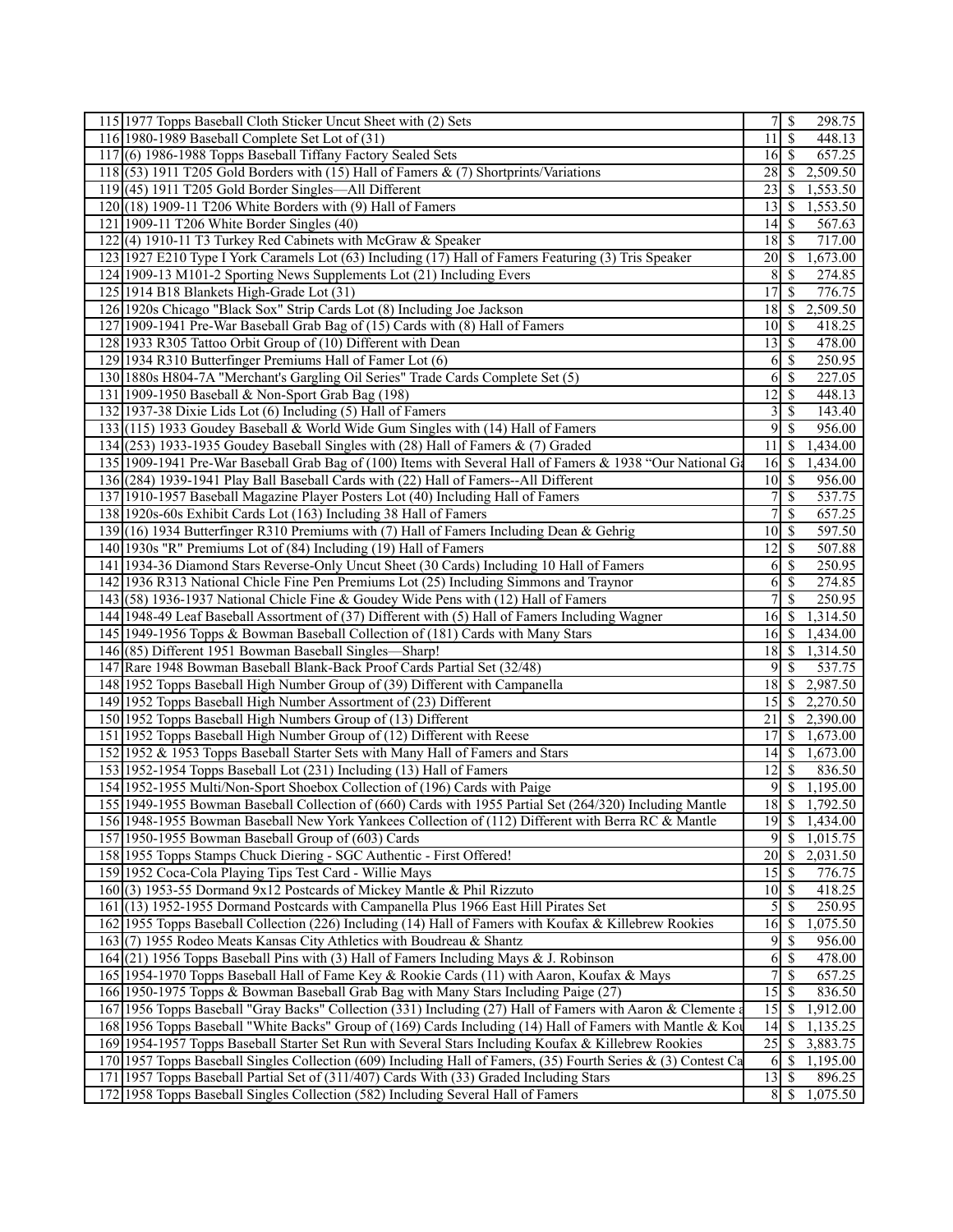|     | 115 1977 Topps Baseball Cloth Sticker Uncut Sheet with (2) Sets                                                |                             |               | 298.75              |
|-----|----------------------------------------------------------------------------------------------------------------|-----------------------------|---------------|---------------------|
|     | 116 1980-1989 Baseball Complete Set Lot of (31)                                                                | 11                          | -S            | 448.13              |
| 117 | (6) 1986-1988 Topps Baseball Tiffany Factory Sealed Sets                                                       | $16 \overline{\smash{)}\,}$ |               | 657.25              |
|     | 118 (53) 1911 T205 Gold Borders with (15) Hall of Famers & (7) Shortprints/Variations                          | 28                          | S             | 2,509.50            |
|     | 119 (45) 1911 T205 Gold Border Singles—All Different                                                           | 23                          | -S            | 1,553.50            |
|     | $120(18)$ 1909-11 T206 White Borders with (9) Hall of Famers                                                   | 13                          | - \$          | 1,553.50            |
|     | 121 1909-11 T206 White Border Singles (40)                                                                     | 14                          | S             | 567.63              |
| 122 | (4) 1910-11 T3 Turkey Red Cabinets with McGraw $&$ Speaker                                                     | $18$ $\sqrt{5}$             |               | 717.00              |
|     | 123 1927 E210 Type I York Caramels Lot (63) Including (17) Hall of Famers Featuring (3) Tris Speaker           | $20$   \$                   |               | 1,673.00            |
|     | 124 1909-13 M101-2 Sporting News Supplements Lot (21) Including Evers                                          | 8                           | S             | 274.85              |
|     | 125 1914 B18 Blankets High-Grade Lot (31)                                                                      | 17                          | -\$           | 776.75              |
|     | 126 1920s Chicago "Black Sox" Strip Cards Lot (8) Including Joe Jackson                                        | 18                          | - \$          | 2,509.50            |
|     | 127 1909-1941 Pre-War Baseball Grab Bag of (15) Cards with (8) Hall of Famers                                  | $101$ S                     |               | 418.25              |
|     |                                                                                                                |                             |               |                     |
|     | 128 1933 R305 Tattoo Orbit Group of (10) Different with Dean                                                   |                             |               | 478.00              |
|     | 129 1934 R310 Butterfinger Premiums Hall of Famer Lot (6)                                                      | 6                           | $\mathcal{S}$ | 250.95              |
|     | 130 1880s H804-7A "Merchant's Gargling Oil Series" Trade Cards Complete Set (5)                                | 6                           | \$            | 227.05              |
|     | 131 1909-1950 Baseball & Non-Sport Grab Bag (198)                                                              | 12                          | -\$           | 448.13              |
|     | 132 1937-38 Dixie Lids Lot (6) Including (5) Hall of Famers                                                    | $\overline{\mathbf{3}}$     | $\mathcal{S}$ | 143.40              |
|     | 133 (115) 1933 Goudey Baseball & World Wide Gum Singles with (14) Hall of Famers                               | 9                           | \$            | 956.00              |
|     | 134 (253) 1933-1935 Goudey Baseball Singles with (28) Hall of Famers & (7) Graded                              | 11                          | -\$           | 1,434.00            |
|     | 135 1909-1941 Pre-War Baseball Grab Bag of (100) Items with Several Hall of Famers & 1938 "Our National Ga     | $16 \mid S$                 |               | 1,434.00            |
|     | 136 (284) 1939-1941 Play Ball Baseball Cards with (22) Hall of Famers--All Different                           | <sup>10</sup>               | -\$           | 956.00              |
|     | 137 1910-1957 Baseball Magazine Player Posters Lot (40) Including Hall of Famers                               | 7                           | $\mathcal{S}$ | $\overline{537.75}$ |
|     | 138 1920s-60s Exhibit Cards Lot (163) Including 38 Hall of Famers                                              | 7                           | \$            | 657.25              |
|     | 139 (16) 1934 Butterfinger R310 Premiums with (7) Hall of Famers Including Dean & Gehrig                       | 10                          | \$            | 597.50              |
|     | 140 1930s "R" Premiums Lot of (84) Including (19) Hall of Famers                                               | $12$   \$                   |               | 507.88              |
|     | 141 1934-36 Diamond Stars Reverse-Only Uncut Sheet (30 Cards) Including 10 Hall of Famers                      | 6                           | $\mathbb{S}$  | 250.95              |
|     | 142 1936 R313 National Chicle Fine Pen Premiums Lot (25) Including Simmons and Traynor                         | 6                           | \$            | 274.85              |
|     | 143 (58) 1936-1937 National Chicle Fine & Goudey Wide Pens with (12) Hall of Famers                            | 7                           | -S            | 250.95              |
|     | 144 1948-49 Leaf Baseball Assortment of (37) Different with (5) Hall of Famers Including Wagner                | 16S                         |               | 1,314.50            |
|     | 145 1949-1956 Topps & Bowman Baseball Collection of (181) Cards with Many Stars                                | 16 <sup> </sup>             | -S            | 1,434.00            |
|     | 146 (85) Different 1951 Bowman Baseball Singles—Sharp!                                                         | $18$ $\sqrt{5}$             |               | 1,314.50            |
| 147 | Rare 1948 Bowman Baseball Blank-Back Proof Cards Partial Set (32/48)                                           | 9                           | \$            | 537.75              |
|     | 148 1952 Topps Baseball High Number Group of (39) Different with Campanella                                    | 18                          | S             | 2,987.50            |
|     | 149 1952 Topps Baseball High Number Assortment of (23) Different                                               | 15                          | 8             | 2,270.50            |
|     | 150 1952 Topps Baseball High Numbers Group of (13) Different                                                   | 21                          | \$            | 2,390.00            |
|     | 151 1952 Topps Baseball High Number Group of (12) Different with Reese                                         | 17                          | S             | 1,673.00            |
|     | 152 1952 & 1953 Topps Baseball Starter Sets with Many Hall of Famers and Stars                                 | 14                          | l S           | 1,673.00            |
|     | 153 1952-1954 Topps Baseball Lot (231) Including (13) Hall of Famers                                           | 12                          | \$            | 836.50              |
|     | 154 1952-1955 Multi/Non-Sport Shoebox Collection of (196) Cards with Paige                                     | $\overline{9}$              | S             | 1,195.00            |
|     | 155 1949-1955 Bowman Baseball Collection of (660) Cards with 1955 Partial Set (264/320) Including Mantle       | $18\overline{3}$            |               | 1,792.50            |
|     | 156 1948-1955 Bowman Baseball New York Yankees Collection of (112) Different with Berra RC & Mantle            |                             |               | 1,434.00            |
| 157 | 1950-1955 Bowman Baseball Group of (603) Cards                                                                 | 9                           | \$            | 1,015.75            |
|     | 158 1955 Topps Stamps Chuck Diering - SGC Authentic - First Offered!                                           | 20                          | $\mathcal{S}$ | 2,031.50            |
|     | 159 1952 Coca-Cola Playing Tips Test Card - Willie Mays                                                        |                             |               | 776.75              |
|     | 160(3) 1953-55 Dormand 9x12 Postcards of Mickey Mantle & Phil Rizzuto                                          | 10                          | -\$           | 418.25              |
|     | 161 (13) 1952-1955 Dormand Postcards with Campanella Plus 1966 East Hill Pirates Set                           | $\mathfrak{S}$              | <sup>\$</sup> | 250.95              |
|     | 162 1955 Topps Baseball Collection (226) Including (14) Hall of Famers with Koufax & Killebrew Rookies         | 16                          | $\mathcal{S}$ | 1,075.50            |
|     | 163(7) 1955 Rodeo Meats Kansas City Athletics with Boudreau & Shantz                                           | $\overline{9}$              | -\$           | 956.00              |
|     | 164(21) 1956 Topps Baseball Pins with (3) Hall of Famers Including Mays & J. Robinson                          | 6                           | \$            | 478.00              |
|     | 165 1954-1970 Topps Baseball Hall of Fame Key & Rookie Cards (11) with Aaron, Koufax & Mays                    | 7                           | \$            | 657.25              |
|     | 166 1950-1975 Topps & Bowman Baseball Grab Bag with Many Stars Including Paige (27)                            | $\overline{15}$             | $\mathcal{S}$ | 836.50              |
|     | 167 1956 Topps Baseball "Gray Backs" Collection (331) Including (27) Hall of Famers with Aaron & Clemente a    | 15                          | -\$           | 1,912.00            |
|     | 168 1956 Topps Baseball "White Backs" Group of (169) Cards Including (14) Hall of Famers with Mantle & Kou     | 14                          | \$            | 1,135.25            |
|     | 169 1954-1957 Topps Baseball Starter Set Run with Several Stars Including Koufax & Killebrew Rookies           | $\overline{25}$             | -\$           | 3,883.75            |
|     | 170 1957 Topps Baseball Singles Collection (609) Including Hall of Famers, (35) Fourth Series & (3) Contest Ca | 6                           | -\$           | 1,195.00            |
|     | 171 1957 Topps Baseball Partial Set of (311/407) Cards With (33) Graded Including Stars                        | $13 \mid$ \$                |               | 896.25              |
|     | 172 1958 Topps Baseball Singles Collection (582) Including Several Hall of Famers                              | $8$ $\sqrt{5}$              |               | 1,075.50            |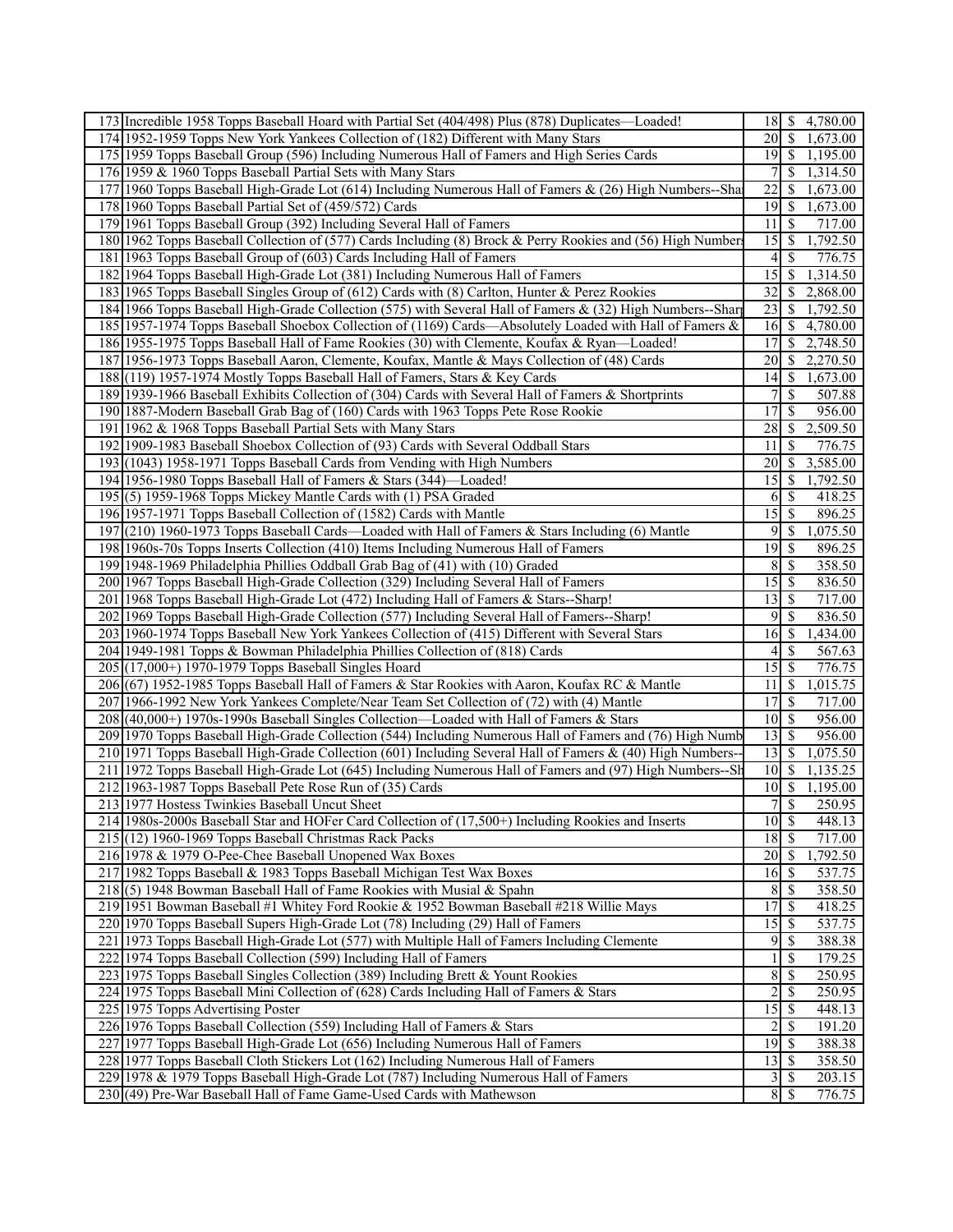| 173 Incredible 1958 Topps Baseball Hoard with Partial Set (404/498) Plus (878) Duplicates—Loaded!           |                              |                          | 4,780.00 |
|-------------------------------------------------------------------------------------------------------------|------------------------------|--------------------------|----------|
| 174 1952-1959 Topps New York Yankees Collection of (182) Different with Many Stars                          | $20$   \$                    |                          | 1,673.00 |
| 175 1959 Topps Baseball Group (596) Including Numerous Hall of Famers and High Series Cards                 | $19$ $\sqrt{5}$              |                          | 1,195.00 |
| 176 1959 & 1960 Topps Baseball Partial Sets with Many Stars                                                 | 7                            | \$                       | 1,314.50 |
| 177 1960 Topps Baseball High-Grade Lot (614) Including Numerous Hall of Famers & (26) High Numbers--Sha     | 22                           | S                        | 1,673.00 |
| 178 1960 Topps Baseball Partial Set of (459/572) Cards                                                      |                              |                          | 1,673.00 |
| 179 1961 Topps Baseball Group (392) Including Several Hall of Famers                                        | 11                           | -S                       | 717.00   |
| 180 1962 Topps Baseball Collection of (577) Cards Including (8) Brock & Perry Rookies and (56) High Numbers | 15                           | -S                       | 1,792.50 |
| 181 1963 Topps Baseball Group of (603) Cards Including Hall of Famers                                       | 4                            | <sup>\$</sup>            | 776.75   |
| 182 1964 Topps Baseball High-Grade Lot (381) Including Numerous Hall of Famers                              | 15                           | <sup>\$</sup>            | 1,314.50 |
| 183 1965 Topps Baseball Singles Group of (612) Cards with (8) Carlton, Hunter & Perez Rookies               | 32                           | S                        | 2,868.00 |
|                                                                                                             | 23                           | - \$                     |          |
| 184 1966 Topps Baseball High-Grade Collection (575) with Several Hall of Famers & (32) High Numbers--Shar   | 16                           |                          | 1,792.50 |
| 185 1957-1974 Topps Baseball Shoebox Collection of (1169) Cards—Absolutely Loaded with Hall of Famers &     |                              | - \$                     | 4,780.00 |
| 186 1955-1975 Topps Baseball Hall of Fame Rookies (30) with Clemente, Koufax & Ryan—Loaded!                 | 17                           | <sup>\$</sup>            | 2,748.50 |
| 187 1956-1973 Topps Baseball Aaron, Clemente, Koufax, Mantle & Mays Collection of (48) Cards                | 20                           | -S                       | 2,270.50 |
| 188 (119) 1957-1974 Mostly Topps Baseball Hall of Famers, Stars & Key Cards                                 | 14 <sub>1</sub>              | - \$                     | 1,673.00 |
| 189 1939-1966 Baseball Exhibits Collection of (304) Cards with Several Hall of Famers & Shortprints         | 7                            | \$                       | 507.88   |
| 190 1887-Modern Baseball Grab Bag of (160) Cards with 1963 Topps Pete Rose Rookie                           | 17                           | S                        | 956.00   |
| 191 1962 & 1968 Topps Baseball Partial Sets with Many Stars                                                 | 28                           | S                        | 2,509.50 |
| 192 1909-1983 Baseball Shoebox Collection of (93) Cards with Several Oddball Stars                          | 11                           | <sup>\$</sup>            | 776.75   |
| 193(1043) 1958-1971 Topps Baseball Cards from Vending with High Numbers                                     | 20                           | <sup>\$</sup>            | 3,585.00 |
| 194 1956-1980 Topps Baseball Hall of Famers & Stars (344)—Loaded!                                           | 15                           | -S                       | 1,792.50 |
| 195 (5) 1959-1968 Topps Mickey Mantle Cards with (1) PSA Graded                                             | 6                            | -\$                      | 418.25   |
| 196 1957-1971 Topps Baseball Collection of (1582) Cards with Mantle                                         | 15                           | -\$                      | 896.25   |
| 197 (210) 1960-1973 Topps Baseball Cards—Loaded with Hall of Famers & Stars Including (6) Mantle            | 9                            | $\mathbb{S}$             | 1,075.50 |
| 198 1960s-70s Topps Inserts Collection (410) Items Including Numerous Hall of Famers                        | $\overline{19}$              | $\mathsf{S}$             | 896.25   |
| 199 1948-1969 Philadelphia Phillies Oddball Grab Bag of (41) with (10) Graded                               | 8                            | -S                       | 358.50   |
| 200 1967 Topps Baseball High-Grade Collection (329) Including Several Hall of Famers                        | 15                           | \$                       | 836.50   |
| 201 1968 Topps Baseball High-Grade Lot (472) Including Hall of Famers & Stars--Sharp!                       | $\overline{13}$              | $\mathbf{\$}$            | 717.00   |
| 202 1969 Topps Baseball High-Grade Collection (577) Including Several Hall of Famers--Sharp!                | 9                            | <sup>\$</sup>            | 836.50   |
| 203 1960-1974 Topps Baseball New York Yankees Collection of (415) Different with Several Stars              | 16                           | S                        | 1,434.00 |
| 204 1949-1981 Topps & Bowman Philadelphia Phillies Collection of (818) Cards                                | 4                            | <sup>5</sup>             | 567.63   |
| 205 (17,000+) 1970-1979 Topps Baseball Singles Hoard                                                        | 15                           | $\overline{\mathcal{S}}$ | 776.75   |
| 206 (67) 1952-1985 Topps Baseball Hall of Famers & Star Rookies with Aaron, Koufax RC & Mantle              | 11                           | $\mathcal{S}$            | 1,015.75 |
| 207 1966-1992 New York Yankees Complete/Near Team Set Collection of (72) with (4) Mantle                    | 17                           | $\mathbb{S}$             | 717.00   |
| 208 (40,000+) 1970s-1990s Baseball Singles Collection—Loaded with Hall of Famers & Stars                    |                              |                          | 956.00   |
| 209 1970 Topps Baseball High-Grade Collection (544) Including Numerous Hall of Famers and (76) High Numb    | 13                           | -\$                      | 956.00   |
| 210 1971 Topps Baseball High-Grade Collection (601) Including Several Hall of Famers & (40) High Numbers--  | 13                           | \$                       | 1,075.50 |
| 211 1972 Topps Baseball High-Grade Lot (645) Including Numerous Hall of Famers and (97) High Numbers--Sh    | 10 <sup>1</sup>              | <sup>\$</sup>            | 1,135.25 |
| 212 1963-1987 Topps Baseball Pete Rose Run of (35) Cards                                                    | 10 <sup>1</sup>              | \$                       | 1,195.00 |
| 213 1977 Hostess Twinkies Baseball Uncut Sheet                                                              | 7S                           |                          | 250.95   |
| 214 1980s-2000s Baseball Star and HOFer Card Collection of (17,500+) Including Rookies and Inserts          | $10 \mid$ \$                 |                          | 448.13   |
| $215(12)$ 1960-1969 Topps Baseball Christmas Rack Packs                                                     | $18 \overline{\smash{)}\,5}$ |                          | 717.00   |
| 216 1978 & 1979 O-Pee-Chee Baseball Unopened Wax Boxes                                                      | $\overline{20}$ \$           |                          | 1,792.50 |
| 217 1982 Topps Baseball & 1983 Topps Baseball Michigan Test Wax Boxes                                       | $16 \mid$ \$                 |                          | 537.75   |
| 218(5) 1948 Bowman Baseball Hall of Fame Rookies with Musial & Spahn                                        | 8                            | -S                       | 358.50   |
| 219 1951 Bowman Baseball #1 Whitey Ford Rookie & 1952 Bowman Baseball #218 Willie Mays                      | 17                           | S                        | 418.25   |
| 220 1970 Topps Baseball Supers High-Grade Lot (78) Including (29) Hall of Famers                            | 15                           | - \$                     | 537.75   |
| 221 1973 Topps Baseball High-Grade Lot (577) with Multiple Hall of Famers Including Clemente                | 9                            | \$                       | 388.38   |
| 222 1974 Topps Baseball Collection (599) Including Hall of Famers                                           |                              | $\mathbf{\$}$            | 179.25   |
| 223 1975 Topps Baseball Singles Collection (389) Including Brett & Yount Rookies                            | 8                            | \$                       | 250.95   |
| 224 1975 Topps Baseball Mini Collection of (628) Cards Including Hall of Famers & Stars                     | $\overline{c}$               | \$                       | 250.95   |
| 225 1975 Topps Advertising Poster                                                                           | 15S                          |                          | 448.13   |
| 226 1976 Topps Baseball Collection (559) Including Hall of Famers & Stars                                   | 2                            | -\$                      | 191.20   |
| 227 1977 Topps Baseball High-Grade Lot (656) Including Numerous Hall of Famers                              | $\overline{19}$              | -\$                      | 388.38   |
| 228 1977 Topps Baseball Cloth Stickers Lot (162) Including Numerous Hall of Famers                          | $13 \mid$ \$                 |                          | 358.50   |
| 229 1978 & 1979 Topps Baseball High-Grade Lot (787) Including Numerous Hall of Famers                       | $3\vert$                     | $\mathbb{S}$             | 203.15   |
| 230(49) Pre-War Baseball Hall of Fame Game-Used Cards with Mathewson                                        | 8S                           |                          | 776.75   |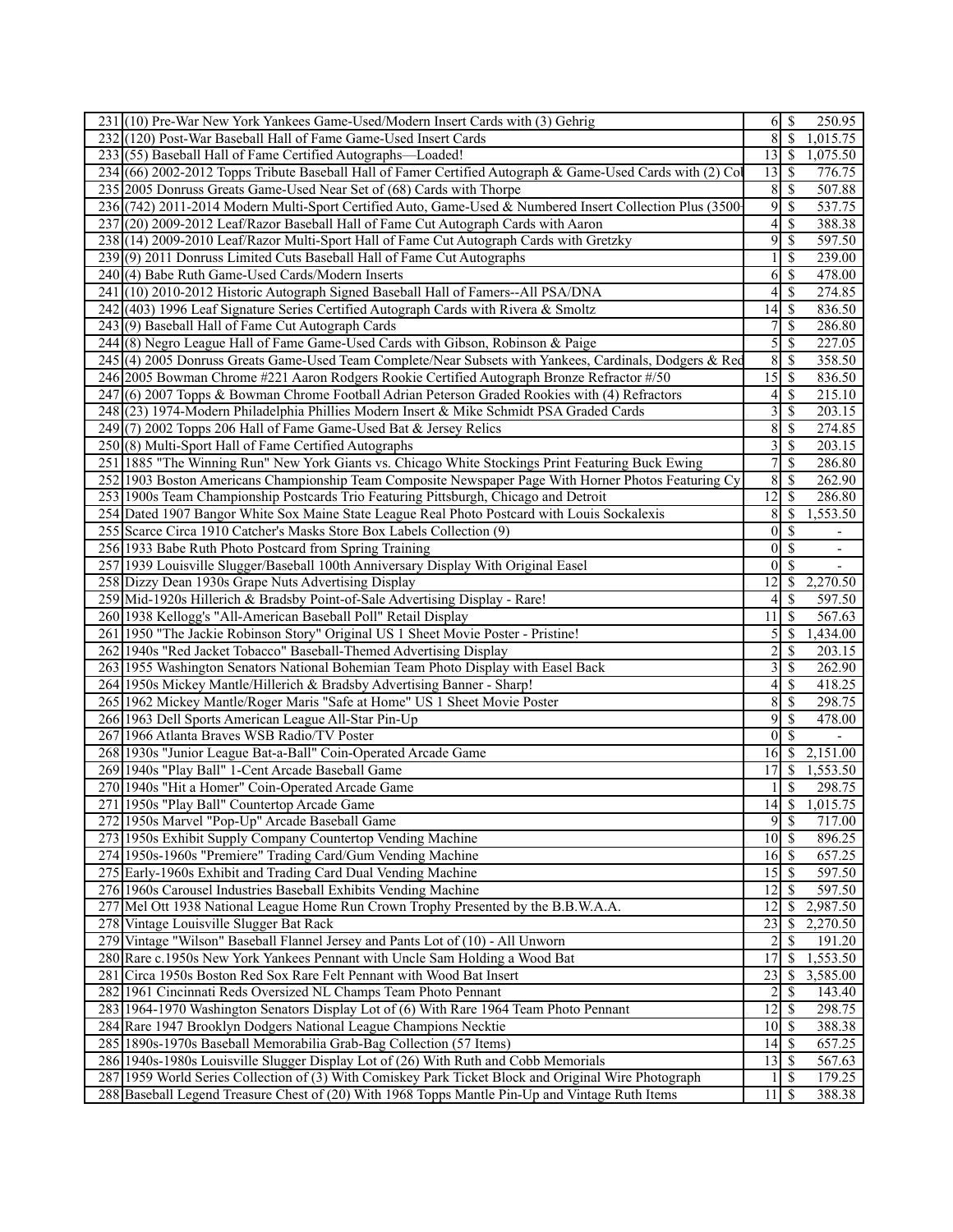| 231 (10) Pre-War New York Yankees Game-Used/Modern Insert Cards with (3) Gehrig                           | 6I                      | \$<br>250.95                              |
|-----------------------------------------------------------------------------------------------------------|-------------------------|-------------------------------------------|
| 232(120) Post-War Baseball Hall of Fame Game-Used Insert Cards                                            | 8                       | $\overline{\$}$<br>1,015.75               |
| 233 (55) Baseball Hall of Fame Certified Autographs-Loaded!                                               | 13                      | $\mathbb{S}$<br>1,075.50                  |
| 234 (66) 2002-2012 Topps Tribute Baseball Hall of Famer Certified Autograph & Game-Used Cards with (2) Co | 13                      | <sup>\$</sup><br>776.75                   |
| 235 2005 Donruss Greats Game-Used Near Set of (68) Cards with Thorpe                                      | 8                       | \$<br>507.88                              |
| 236 (742) 2011-2014 Modern Multi-Sport Certified Auto, Game-Used & Numbered Insert Collection Plus (3500- | 9                       | <sup>\$</sup><br>537.75                   |
| 237 (20) 2009-2012 Leaf/Razor Baseball Hall of Fame Cut Autograph Cards with Aaron                        | $\frac{4}{3}$           | \$<br>388.38                              |
| 238 (14) 2009-2010 Leaf/Razor Multi-Sport Hall of Fame Cut Autograph Cards with Gretzky                   | 9                       | \$<br>597.50                              |
| 239(9) 2011 Donruss Limited Cuts Baseball Hall of Fame Cut Autographs                                     | 11                      | <sup>\$</sup><br>239.00                   |
| 240(4) Babe Ruth Game-Used Cards/Modern Inserts                                                           | 61                      | \$<br>478.00                              |
| 241 (10) 2010-2012 Historic Autograph Signed Baseball Hall of Famers--All PSA/DNA                         | 4                       | \$<br>274.85                              |
| 242 (403) 1996 Leaf Signature Series Certified Autograph Cards with Rivera & Smoltz                       | 14                      | -S<br>836.50                              |
| 243(9) Baseball Hall of Fame Cut Autograph Cards                                                          | 7                       | \$<br>286.80                              |
| 244 (8) Negro League Hall of Fame Game-Used Cards with Gibson, Robinson & Paige                           | $\mathfrak{S}$          | \$<br>227.05                              |
| 245 (4) 2005 Donruss Greats Game-Used Team Complete/Near Subsets with Yankees, Cardinals, Dodgers & Red   | $\overline{8}$          | <sup>\$</sup><br>358.50                   |
| 246 2005 Bowman Chrome #221 Aaron Rodgers Rookie Certified Autograph Bronze Refractor #/50                | $15 \mid$ \$            | 836.50                                    |
| 247 (6) 2007 Topps & Bowman Chrome Football Adrian Peterson Graded Rookies with (4) Refractors            | 4                       | \$<br>215.10                              |
| 248 (23) 1974-Modern Philadelphia Phillies Modern Insert & Mike Schmidt PSA Graded Cards                  | $\overline{\mathbf{3}}$ | \$<br>203.15                              |
| $249(7)$ 2002 Topps 206 Hall of Fame Game-Used Bat & Jersey Relics                                        | 8                       | \$<br>274.85                              |
| 250(8) Multi-Sport Hall of Fame Certified Autographs                                                      | $\overline{3}$          | \$<br>203.15                              |
| 251 1885 "The Winning Run" New York Giants vs. Chicago White Stockings Print Featuring Buck Ewing         | 7 <sup>1</sup>          | \$<br>286.80                              |
| 252 1903 Boston Americans Championship Team Composite Newspaper Page With Horner Photos Featuring Cy      | $\overline{8}$          | <sup>\$</sup><br>262.90                   |
| 253 1900s Team Championship Postcards Trio Featuring Pittsburgh, Chicago and Detroit                      | 12                      | \$<br>286.80                              |
| 254 Dated 1907 Bangor White Sox Maine State League Real Photo Postcard with Louis Sockalexis              | 8                       | \$<br>1,553.50                            |
| 255 Scarce Circa 1910 Catcher's Masks Store Box Labels Collection (9)                                     | $\vert 0 \vert$         | \$                                        |
| 256 1933 Babe Ruth Photo Postcard from Spring Training                                                    | $\overline{0}$          | $\mathcal{S}$                             |
| 257 1939 Louisville Slugger/Baseball 100th Anniversary Display With Original Easel                        | $\overline{0}$          | <sup>\$</sup><br>$\overline{\phantom{a}}$ |
| 258 Dizzy Dean 1930s Grape Nuts Advertising Display                                                       | 12                      | 2,270.50<br><sup>\$</sup>                 |
| 259 Mid-1920s Hillerich & Bradsby Point-of-Sale Advertising Display - Rare!                               | 4                       | <sup>\$</sup><br>597.50                   |
| 260 1938 Kellogg's "All-American Baseball Poll" Retail Display                                            | 11                      | -S<br>567.63                              |
| 261 1950 "The Jackie Robinson Story" Original US 1 Sheet Movie Poster - Pristine!                         | $\mathfrak{S}$          | 1,434.00<br>-S                            |
| 262 1940s "Red Jacket Tobacco" Baseball-Themed Advertising Display                                        | $\overline{2}$          | \$<br>203.15                              |
| 263 1955 Washington Senators National Bohemian Team Photo Display with Easel Back                         | $\overline{\mathbf{3}}$ | <sup>\$</sup><br>262.90                   |
| 264 1950s Mickey Mantle/Hillerich & Bradsby Advertising Banner - Sharp!                                   | 41                      | <sup>\$</sup><br>418.25                   |
| 265 1962 Mickey Mantle/Roger Maris "Safe at Home" US 1 Sheet Movie Poster                                 | 8                       | \$<br>298.75                              |
|                                                                                                           | 9                       |                                           |
| 266 1963 Dell Sports American League All-Star Pin-Up<br>267 1966 Atlanta Braves WSB Radio/TV Poster       | $\Omega$                | <sup>\$</sup><br>478.00                   |
|                                                                                                           | 16 <sup> </sup>         | $\mathcal{S}$<br>$\mathbb{S}$             |
| 268 1930s "Junior League Bat-a-Ball" Coin-Operated Arcade Game                                            |                         | 2,151.00                                  |
| 269 1940s "Play Ball" 1-Cent Arcade Baseball Game                                                         | 17<br>$\frac{1}{2}$     | \$<br>1,553.50                            |
| 270 1940s "Hit a Homer" Coin-Operated Arcade Game<br>271 1950s "Play Ball" Countertop Arcade Game         | $\overline{14}$ \$      | \$<br>298.75                              |
| 272 1950s Marvel "Pop-Up" Arcade Baseball Game                                                            | 9                       | 1,015.75<br>717.00                        |
|                                                                                                           |                         | \$                                        |
| 273 1950s Exhibit Supply Company Countertop Vending Machine                                               | $10 \mid S$             | 896.25                                    |
| 274 1950s-1960s "Premiere" Trading Card/Gum Vending Machine                                               | $16 \mid$ \$            | 657.25                                    |
| 275 Early-1960s Exhibit and Trading Card Dual Vending Machine                                             |                         | 597.50                                    |
| 276 1960s Carousel Industries Baseball Exhibits Vending Machine                                           | 12                      | 597.50<br><sup>\$</sup>                   |
| 277 Mel Ott 1938 National League Home Run Crown Trophy Presented by the B.B.W.A.A.                        | $\overline{12}$         | $\mathbb{S}$<br>2,987.50                  |
| 278 Vintage Louisville Slugger Bat Rack                                                                   | 23                      | 2,270.50<br>\$                            |
| 279 Vintage "Wilson" Baseball Flannel Jersey and Pants Lot of (10) - All Unworn                           | $\overline{2}$          | \$<br>191.20                              |
| 280 Rare c.1950s New York Yankees Pennant with Uncle Sam Holding a Wood Bat                               | 17                      | 1,553.50<br><sup>\$</sup>                 |
| 281 Circa 1950s Boston Red Sox Rare Felt Pennant with Wood Bat Insert                                     | 23                      | 3,585.00<br>\$                            |
| 282 1961 Cincinnati Reds Oversized NL Champs Team Photo Pennant                                           | $\overline{2}$          | \$<br>143.40                              |
| 283 1964-1970 Washington Senators Display Lot of (6) With Rare 1964 Team Photo Pennant                    | 12                      | \$<br>298.75                              |
| 284 Rare 1947 Brooklyn Dodgers National League Champions Necktie                                          | $\overline{10}$ \$      | 388.38                                    |
| 285 1890s-1970s Baseball Memorabilia Grab-Bag Collection (57 Items)                                       | 14                      | -S<br>657.25                              |
| 286 1940s-1980s Louisville Slugger Display Lot of (26) With Ruth and Cobb Memorials                       | $13 \mid$ \$            | 567.63                                    |
| 287 1959 World Series Collection of (3) With Comiskey Park Ticket Block and Original Wire Photograph      | $\frac{1}{2}$           | <sup>\$</sup><br>179.25                   |
| 288 Baseball Legend Treasure Chest of (20) With 1968 Topps Mantle Pin-Up and Vintage Ruth Items           | $11 \mid S$             | 388.38                                    |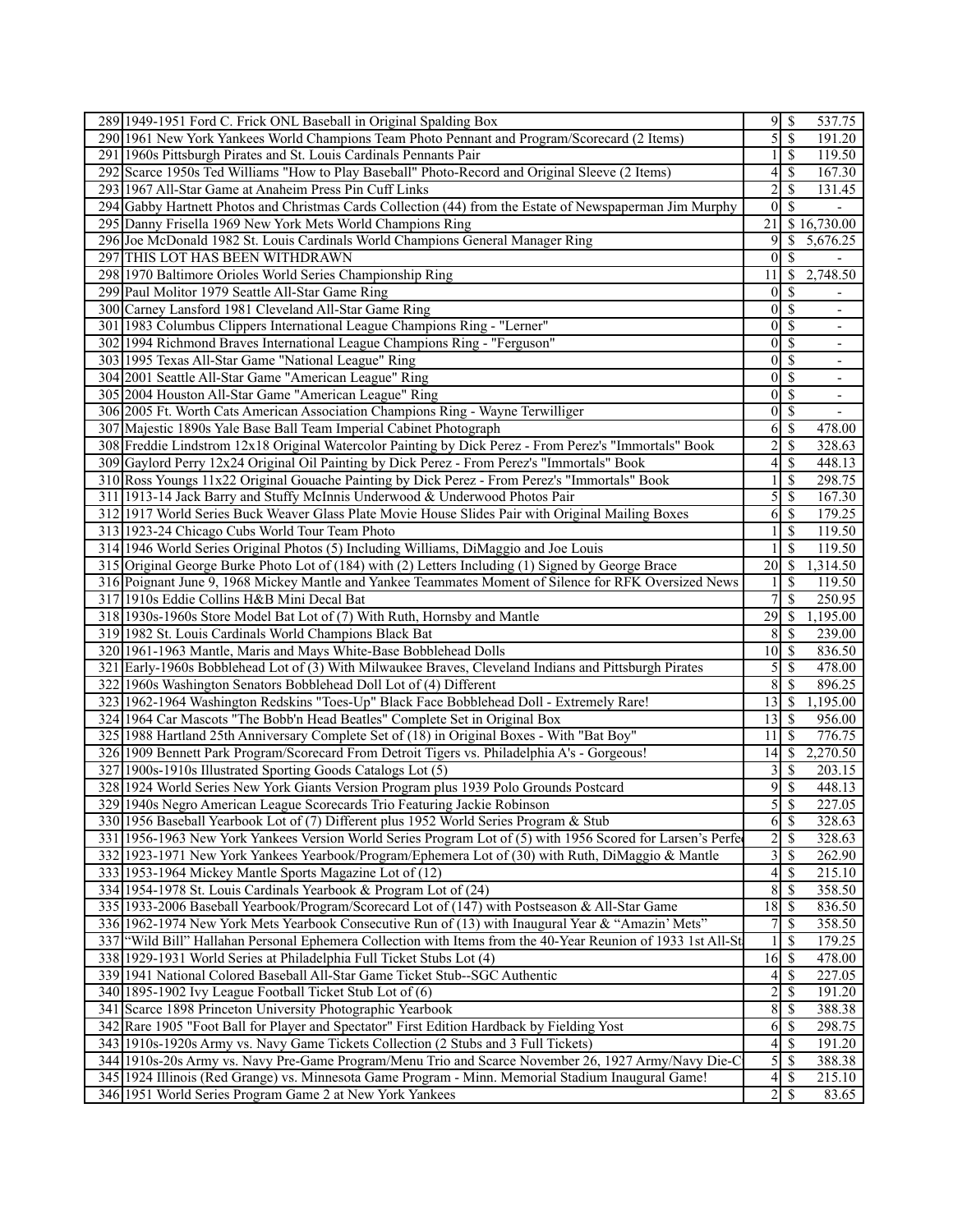|     | 289 1949-1951 Ford C. Frick ONL Baseball in Original Spalding Box                                             |                                   | $9\sqrt{5}$                | 537.75                   |
|-----|---------------------------------------------------------------------------------------------------------------|-----------------------------------|----------------------------|--------------------------|
|     | 290 1961 New York Yankees World Champions Team Photo Pennant and Program/Scorecard (2 Items)                  | 5                                 | \$                         | 191.20                   |
|     | 291 1960s Pittsburgh Pirates and St. Louis Cardinals Pennants Pair                                            |                                   | $\mathcal{S}$              | 119.50                   |
| 292 | Scarce 1950s Ted Williams "How to Play Baseball" Photo-Record and Original Sleeve (2 Items)                   | 4                                 | \$                         | 167.30                   |
|     | 293 1967 All-Star Game at Anaheim Press Pin Cuff Links                                                        | $\overline{c}$                    | \$                         | 131.45                   |
|     | 294 Gabby Hartnett Photos and Christmas Cards Collection (44) from the Estate of Newspaperman Jim Murphy      |                                   | $0 \mid S$                 |                          |
|     | 295 Danny Frisella 1969 New York Mets World Champions Ring                                                    | 21                                |                            | \$16,730.00              |
|     | 296 Joe McDonald 1982 St. Louis Cardinals World Champions General Manager Ring                                | 9                                 | S                          | 5,676.25                 |
|     | 297 THIS LOT HAS BEEN WITHDRAWN                                                                               | $\vert 0 \vert$                   | $\overline{\mathcal{S}}$   | $\mathbf{r}$             |
|     | 298 1970 Baltimore Orioles World Series Championship Ring                                                     | 11                                | \$                         | 2,748.50                 |
|     | 299 Paul Molitor 1979 Seattle All-Star Game Ring                                                              | 0                                 |                            |                          |
|     |                                                                                                               |                                   | \$<br>$0\sqrt{s}$          |                          |
|     | 300 Carney Lansford 1981 Cleveland All-Star Game Ring                                                         |                                   |                            |                          |
|     | 301   1983 Columbus Clippers International League Champions Ring - "Lerner"                                   |                                   | $0\sqrt{s}$                | $\overline{\phantom{m}}$ |
|     | 302 1994 Richmond Braves International League Champions Ring - "Ferguson"                                     | $\overline{0}$                    | \$                         | $\overline{\phantom{m}}$ |
|     | 303 1995 Texas All-Star Game "National League" Ring                                                           | $\vert 0 \vert$                   | $\overline{\mathcal{S}}$   | $\overline{\phantom{a}}$ |
|     | 304 2001 Seattle All-Star Game "American League" Ring                                                         | $\vert 0 \vert$                   | \$                         | $\overline{\phantom{a}}$ |
|     | 305 2004 Houston All-Star Game "American League" Ring                                                         | $\overline{0}$                    | \$                         |                          |
|     | 306 2005 Ft. Worth Cats American Association Champions Ring - Wayne Terwilliger                               |                                   | $0\sqrt{S}$                |                          |
|     | 307 Majestic 1890s Yale Base Ball Team Imperial Cabinet Photograph                                            | 6                                 | $\overline{\mathcal{S}}$   | 478.00                   |
|     | 308 Freddie Lindstrom 12x18 Original Watercolor Painting by Dick Perez - From Perez's "Immortals" Book        | $\overline{c}$                    | \$                         | 328.63                   |
|     | 309 Gaylord Perry 12x24 Original Oil Painting by Dick Perez - From Perez's "Immortals" Book                   | 4                                 | \$                         | 448.13                   |
| 310 | Ross Youngs 11x22 Original Gouache Painting by Dick Perez - From Perez's "Immortals" Book                     |                                   | \$                         | 298.75                   |
|     | 311 1913-14 Jack Barry and Stuffy McInnis Underwood & Underwood Photos Pair                                   | 5                                 | \$                         | 167.30                   |
|     | 312 1917 World Series Buck Weaver Glass Plate Movie House Slides Pair with Original Mailing Boxes             | 6                                 | $\mathcal{S}$              | 179.25                   |
|     | 313 1923-24 Chicago Cubs World Tour Team Photo                                                                |                                   | \$                         | 119.50                   |
|     | 314 1946 World Series Original Photos (5) Including Williams, DiMaggio and Joe Louis                          |                                   | S                          | 119.50                   |
|     | 315 Original George Burke Photo Lot of (184) with (2) Letters Including (1) Signed by George Brace            | 20                                | -\$                        | 1,314.50                 |
|     | 316 Poignant June 9, 1968 Mickey Mantle and Yankee Teammates Moment of Silence for RFK Oversized News         |                                   | S                          | 119.50                   |
|     | 317 1910s Eddie Collins H&B Mini Decal Bat                                                                    | 7                                 | \$                         | 250.95                   |
|     | 318 1930s-1960s Store Model Bat Lot of (7) With Ruth, Hornsby and Mantle                                      | $\overline{29}$                   | -\$                        | 1,195.00                 |
|     | 319 1982 St. Louis Cardinals World Champions Black Bat                                                        | 8                                 | -S                         | 239.00                   |
|     | 320 1961-1963 Mantle, Maris and Mays White-Base Bobblehead Dolls                                              | $10 \mid S$                       |                            | 836.50                   |
| 321 | Early-1960s Bobblehead Lot of (3) With Milwaukee Braves, Cleveland Indians and Pittsburgh Pirates             | 5                                 | -\$                        | 478.00                   |
| 322 | 1960s Washington Senators Bobblehead Doll Lot of (4) Different                                                | 8                                 | \$                         | 896.25                   |
|     | 323 1962-1964 Washington Redskins "Toes-Up" Black Face Bobblehead Doll - Extremely Rare!                      | 13                                | -\$                        | 1,195.00                 |
|     | 324 1964 Car Mascots "The Bobb'n Head Beatles" Complete Set in Original Box                                   | 13                                | \$                         | 956.00                   |
|     | 325 1988 Hartland 25th Anniversary Complete Set of (18) in Original Boxes - With "Bat Boy"                    | 11                                | $\mathcal{S}$              | 776.75                   |
|     | 326 1909 Bennett Park Program/Scorecard From Detroit Tigers vs. Philadelphia A's - Gorgeous!                  | $14$ $\sqrt{5}$                   |                            | 2,270.50                 |
|     | 327 1900s-1910s Illustrated Sporting Goods Catalogs Lot (5)                                                   | 3                                 | <sup>\$</sup>              | 203.15                   |
|     | 328 1924 World Series New York Giants Version Program plus 1939 Polo Grounds Postcard                         | 9                                 | \$                         | 448.13                   |
|     | 329 1940s Negro American League Scorecards Trio Featuring Jackie Robinson                                     |                                   | $\overline{5 }$            | 227.05                   |
|     | 330 1956 Baseball Yearbook Lot of (7) Different plus 1952 World Series Program & Stub                         |                                   | $6 \overline{\smash{)}\,}$ | 328.63                   |
|     | 331 1956-1963 New York Yankees Version World Series Program Lot of (5) with 1956 Scored for Larsen's Perfe    | $\overline{2}$                    | \$                         | 328.63                   |
|     | 332 1923-1971 New York Yankees Yearbook/Program/Ephemera Lot of (30) with Ruth, DiMaggio & Mantle             |                                   | 3S                         | 262.90                   |
|     | 333 1953-1964 Mickey Mantle Sports Magazine Lot of (12)                                                       | $\overline{\mathcal{L}}$          | S                          | 215.10                   |
|     | 334 1954-1978 St. Louis Cardinals Yearbook & Program Lot of (24)                                              | 8                                 | \$                         | 358.50                   |
|     | 335   1933-2006 Baseball Yearbook/Program/Scorecard Lot of (147) with Postseason & All-Star Game              | $\overline{18}$                   | -\$                        | 836.50                   |
|     | 336 1962-1974 New York Mets Yearbook Consecutive Run of (13) with Inaugural Year & "Amazin' Mets"             | 7                                 | <sup>\$</sup>              | 358.50                   |
|     | 337 ["Wild Bill" Hallahan Personal Ephemera Collection with Items from the 40-Year Reunion of 1933 1st All-St |                                   | <sup>\$</sup>              | 179.25                   |
|     | 338 1929-1931 World Series at Philadelphia Full Ticket Stubs Lot (4)                                          | $16 \overline{\smash{\big)} }$ \$ |                            | 478.00                   |
|     | 339 1941 National Colored Baseball All-Star Game Ticket Stub--SGC Authentic                                   | $\left 4\right $                  | <sup>\$</sup>              | 227.05                   |
|     | 340 1895-1902 Ivy League Football Ticket Stub Lot of (6)                                                      | 2                                 | \$                         | 191.20                   |
|     | 341 Scarce 1898 Princeton University Photographic Yearbook                                                    | $\bf 8$                           | - \$                       | 388.38                   |
|     | 342 Rare 1905 "Foot Ball for Player and Spectator" First Edition Hardback by Fielding Yost                    | 6                                 | -S                         | 298.75                   |
|     | 343 1910s-1920s Army vs. Navy Game Tickets Collection (2 Stubs and 3 Full Tickets)                            | $\vert 4 \vert$                   | -\$                        | 191.20                   |
|     | 344 1910s-20s Army vs. Navy Pre-Game Program/Menu Trio and Scarce November 26, 1927 Army/Navy Die-C           |                                   | 5S                         | 388.38                   |
|     | 345 1924 Illinois (Red Grange) vs. Minnesota Game Program - Minn. Memorial Stadium Inaugural Game!            | 4                                 | $\mathcal{S}$              | 215.10                   |
|     | 346 1951 World Series Program Game 2 at New York Yankees                                                      | $\overline{2}$                    | S                          | 83.65                    |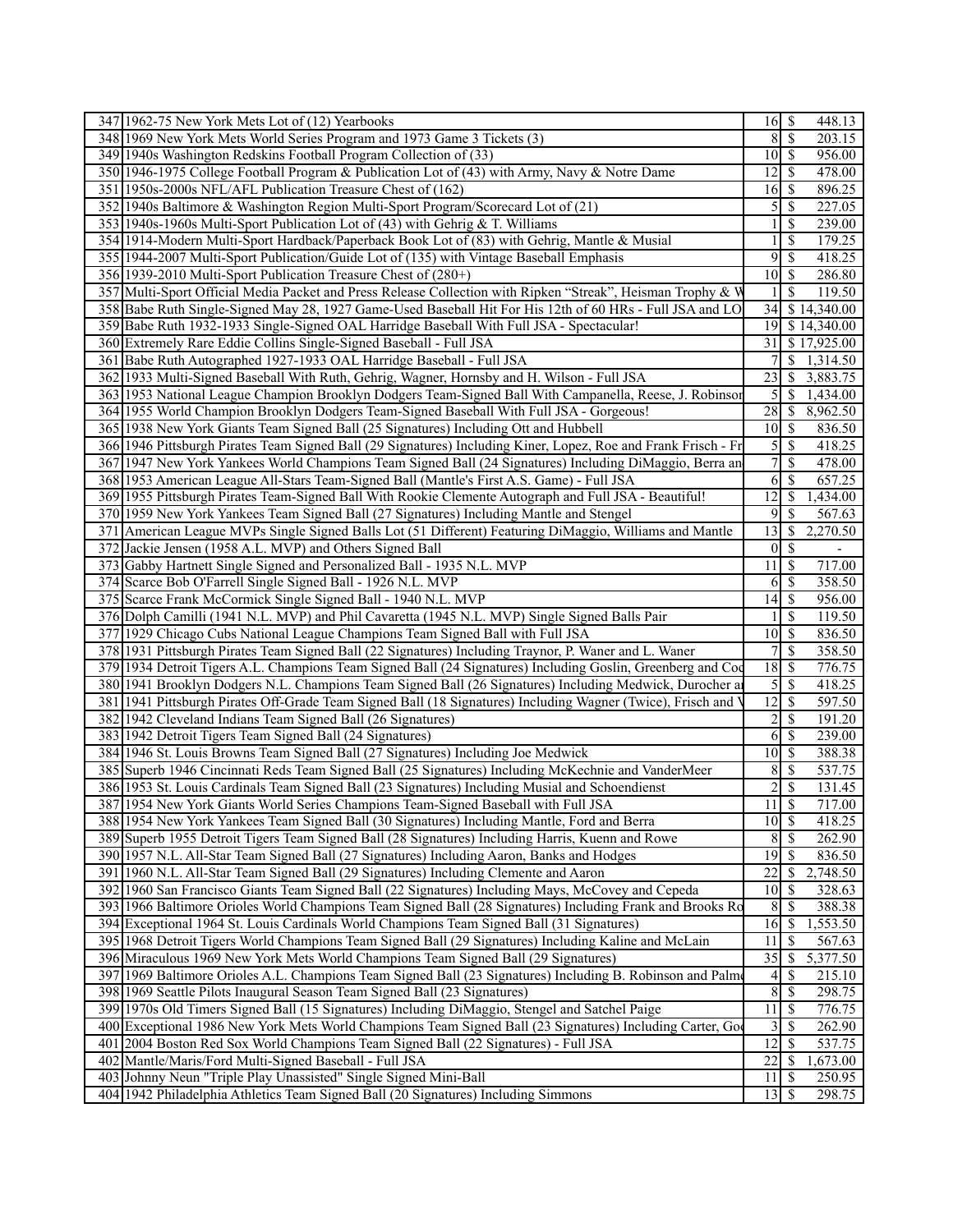| 347 1962-75 New York Mets Lot of (12) Yearbooks                                                                                                        | $16 \mid$ \$<br>448.13                            |
|--------------------------------------------------------------------------------------------------------------------------------------------------------|---------------------------------------------------|
| 348 1969 New York Mets World Series Program and 1973 Game 3 Tickets (3)                                                                                | $8 \overline{\smash{)}\, \, \text{\$}}$<br>203.15 |
| 349 1940s Washington Redskins Football Program Collection of (33)                                                                                      | $10\vert S$<br>956.00                             |
| 350 1946-1975 College Football Program & Publication Lot of (43) with Army, Navy & Notre Dame                                                          | 478.00<br>12 <sup>1</sup><br><sup>\$</sup>        |
| 351 1950s-2000s NFL/AFL Publication Treasure Chest of (162)                                                                                            | $16 \mid$ \$<br>896.25                            |
| 352 1940s Baltimore & Washington Region Multi-Sport Program/Scorecard Lot of (21)                                                                      | $\mathfrak{S}$<br>227.05<br>\$                    |
| 353 1940s-1960s Multi-Sport Publication Lot of (43) with Gehrig & T. Williams                                                                          | \$<br>239.00                                      |
| 354 1914-Modern Multi-Sport Hardback/Paperback Book Lot of (83) with Gehrig, Mantle & Musial                                                           | \$<br>179.25                                      |
|                                                                                                                                                        |                                                   |
| 355 1944-2007 Multi-Sport Publication/Guide Lot of (135) with Vintage Baseball Emphasis                                                                | 9<br>\$<br>418.25                                 |
| 356 1939-2010 Multi-Sport Publication Treasure Chest of (280+)                                                                                         | \$<br>10 <sup> </sup><br>286.80                   |
| 357 Multi-Sport Official Media Packet and Press Release Collection with Ripken "Streak", Heisman Trophy & W                                            | \$<br>119.50                                      |
| 358 Babe Ruth Single-Signed May 28, 1927 Game-Used Baseball Hit For His 12th of 60 HRs - Full JSA and LO                                               | 34<br>$\overline{$}14,340.00$                     |
| 359 Babe Ruth 1932-1933 Single-Signed OAL Harridge Baseball With Full JSA - Spectacular!                                                               | 19<br>\$14,340.00                                 |
| 360 Extremely Rare Eddie Collins Single-Signed Baseball - Full JSA                                                                                     | 31<br>\$17,925.00                                 |
| 361 Babe Ruth Autographed 1927-1933 OAL Harridge Baseball - Full JSA                                                                                   | \$<br>1,314.50                                    |
| 362 1933 Multi-Signed Baseball With Ruth, Gehrig, Wagner, Hornsby and H. Wilson - Full JSA                                                             | 23<br>\$<br>3,883.75                              |
| 363 1953 National League Champion Brooklyn Dodgers Team-Signed Ball With Campanella, Reese, J. Robinsor                                                | 5 <sup>1</sup><br>\$<br>1,434.00                  |
| 364 1955 World Champion Brooklyn Dodgers Team-Signed Baseball With Full JSA - Gorgeous!                                                                | 28<br><sup>\$</sup><br>8,962.50                   |
| 365 1938 New York Giants Team Signed Ball (25 Signatures) Including Ott and Hubbell                                                                    | $10\vert S$<br>836.50                             |
| 366 1946 Pittsburgh Pirates Team Signed Ball (29 Signatures) Including Kiner, Lopez, Roe and Frank Frisch - Fr                                         | 418.25                                            |
| 367 1947 New York Yankees World Champions Team Signed Ball (24 Signatures) Including DiMaggio, Berra an                                                | $7\vert$<br>\$<br>478.00                          |
| 368 1953 American League All-Stars Team-Signed Ball (Mantle's First A.S. Game) - Full JSA                                                              | 6<br>\$<br>657.25                                 |
|                                                                                                                                                        | $\overline{12}$                                   |
| 369 1955 Pittsburgh Pirates Team-Signed Ball With Rookie Clemente Autograph and Full JSA - Beautiful!                                                  | <sup>\$</sup><br>1,434.00<br>9                    |
| 370 1959 New York Yankees Team Signed Ball (27 Signatures) Including Mantle and Stengel                                                                | \$<br>567.63                                      |
| 371 American League MVPs Single Signed Balls Lot (51 Different) Featuring DiMaggio, Williams and Mantle                                                | 13<br>2,270.50<br>S                               |
| 372 Jackie Jensen (1958 A.L. MVP) and Others Signed Ball                                                                                               | $0\vert S$                                        |
| 373 Gabby Hartnett Single Signed and Personalized Ball - 1935 N.L. MVP                                                                                 | \$<br>717.00<br>11                                |
| 374 Scarce Bob O'Farrell Single Signed Ball - 1926 N.L. MVP                                                                                            | 358.50<br>S<br>6                                  |
| 375 Scarce Frank McCormick Single Signed Ball - 1940 N.L. MVP                                                                                          | $14$ $\sqrt{5}$<br>956.00                         |
| 376 Dolph Camilli (1941 N.L. MVP) and Phil Cavaretta (1945 N.L. MVP) Single Signed Balls Pair                                                          | \$<br>119.50                                      |
| 377 1929 Chicago Cubs National League Champions Team Signed Ball with Full JSA                                                                         | $10 \mid S$<br>836.50                             |
| 378 1931 Pittsburgh Pirates Team Signed Ball (22 Signatures) Including Traynor, P. Waner and L. Waner                                                  | $\overline{7}$<br>\$<br>358.50                    |
| 379 1934 Detroit Tigers A.L. Champions Team Signed Ball (24 Signatures) Including Goslin, Greenberg and Coo                                            | 18<br>\$<br>776.75                                |
| 380 1941 Brooklyn Dodgers N.L. Champions Team Signed Ball (26 Signatures) Including Medwick, Durocher an                                               | 5<br>\$<br>418.25                                 |
| 381 1941 Pittsburgh Pirates Off-Grade Team Signed Ball (18 Signatures) Including Wagner (Twice), Frisch and                                            | $12 \mid$ \$<br>597.50                            |
| 382 1942 Cleveland Indians Team Signed Ball (26 Signatures)                                                                                            | $\overline{2}$<br>\$<br>191.20                    |
| 383 1942 Detroit Tigers Team Signed Ball (24 Signatures)                                                                                               | 239.00<br><sup>\$</sup><br>6                      |
| 384 1946 St. Louis Browns Team Signed Ball (27 Signatures) Including Joe Medwick                                                                       | $10\vert S$<br>388.38                             |
| 385 Superb 1946 Cincinnati Reds Team Signed Ball (25 Signatures) Including McKechnie and VanderMeer                                                    | 8 <sup>1</sup><br>\$<br>537.75                    |
| 386 1953 St. Louis Cardinals Team Signed Ball (23 Signatures) Including Musial and Schoendienst                                                        | $\overline{2}$<br>\$<br>131.45                    |
| 387 1954 New York Giants World Series Champions Team-Signed Baseball with Full JSA                                                                     | $11 \mid$ \$<br>717.00                            |
|                                                                                                                                                        |                                                   |
| 388 1954 New York Yankees Team Signed Ball (30 Signatures) Including Mantle, Ford and Berra                                                            | $10 \mid S$<br>418.25                             |
| 389 Superb 1955 Detroit Tigers Team Signed Ball (28 Signatures) Including Harris, Kuenn and Rowe                                                       | 8 <sup>1</sup><br>\$<br>262.90                    |
| 390 1957 N.L. All-Star Team Signed Ball (27 Signatures) Including Aaron, Banks and Hodges                                                              | $\overline{19}$ \$<br>836.50                      |
| 391 1960 N.L. All-Star Team Signed Ball (29 Signatures) Including Clemente and Aaron                                                                   | 22<br>2,748.50<br><sup>\$</sup>                   |
| 392 1960 San Francisco Giants Team Signed Ball (22 Signatures) Including Mays, McCovey and Cepeda                                                      | 10 <sup>1</sup><br><sup>\$</sup><br>328.63        |
| 393 1966 Baltimore Orioles World Champions Team Signed Ball (28 Signatures) Including Frank and Brooks Ro                                              | 388.38<br>8<br>\$                                 |
| 394 Exceptional 1964 St. Louis Cardinals World Champions Team Signed Ball (31 Signatures)                                                              | $16 \mid$ \$<br>1,553.50                          |
| 395 1968 Detroit Tigers World Champions Team Signed Ball (29 Signatures) Including Kaline and McLain                                                   | 11<br>\$<br>567.63                                |
| 396 Miraculous 1969 New York Mets World Champions Team Signed Ball (29 Signatures)                                                                     | 35<br>5,377.50<br>S                               |
| 397 1969 Baltimore Orioles A.L. Champions Team Signed Ball (23 Signatures) Including B. Robinson and Palmo                                             | 215.10<br>$\vert$<br>\$                           |
| 398 1969 Seattle Pilots Inaugural Season Team Signed Ball (23 Signatures)                                                                              | $\sqrt{8}$<br>\$<br>298.75                        |
| 399 1970s Old Timers Signed Ball (15 Signatures) Including DiMaggio, Stengel and Satchel Paige                                                         | 11<br>776.75<br>l \$                              |
| 400 Exceptional 1986 New York Mets World Champions Team Signed Ball (23 Signatures) Including Carter, Go                                               | 262.90                                            |
| 401 2004 Boston Red Sox World Champions Team Signed Ball (22 Signatures) - Full JSA                                                                    | 12<br>537.75<br>\$                                |
| 402 Mantle/Maris/Ford Multi-Signed Baseball - Full JSA                                                                                                 | $\overline{22}$<br>1,673.00<br><sup>\$</sup>      |
|                                                                                                                                                        |                                                   |
|                                                                                                                                                        |                                                   |
| 403 Johnny Neun "Triple Play Unassisted" Single Signed Mini-Ball<br>404 1942 Philadelphia Athletics Team Signed Ball (20 Signatures) Including Simmons | 11<br>  S<br>250.95<br>$13 \mid$ \$<br>298.75     |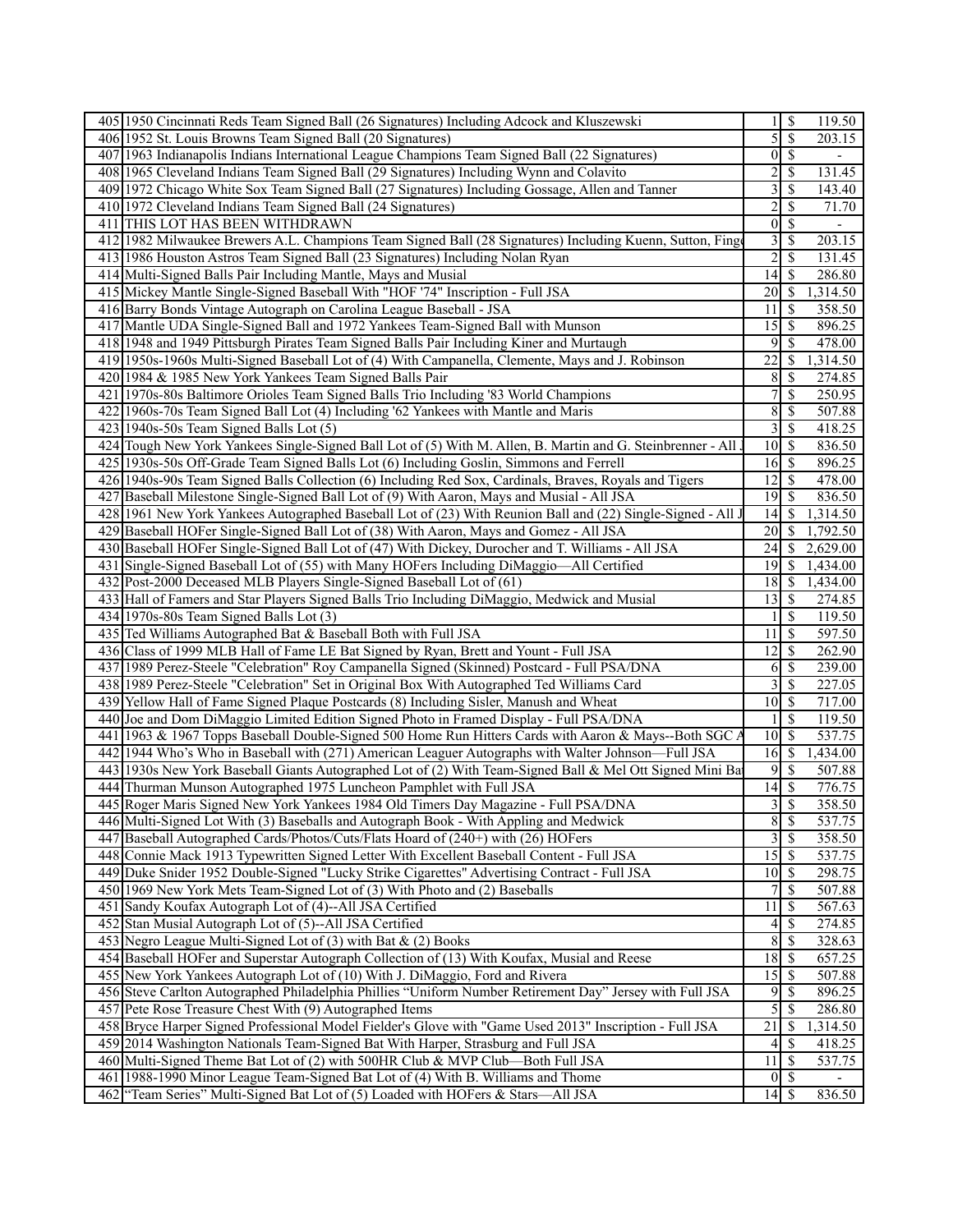|     | 405 1950 Cincinnati Reds Team Signed Ball (26 Signatures) Including Adcock and Kluszewski                   |                 | $\overline{\mathcal{S}}$ | 119.50                   |
|-----|-------------------------------------------------------------------------------------------------------------|-----------------|--------------------------|--------------------------|
|     | 406 1952 St. Louis Browns Team Signed Ball (20 Signatures)                                                  | 5               | $\overline{\mathcal{S}}$ | 203.15                   |
|     | 407 1963 Indianapolis Indians International League Champions Team Signed Ball (22 Signatures)               | 0               | $\overline{\mathcal{S}}$ | $\overline{\phantom{a}}$ |
| 408 | 1965 Cleveland Indians Team Signed Ball (29 Signatures) Including Wynn and Colavito                         | 2               | \$                       | 131.45                   |
|     | 409 1972 Chicago White Sox Team Signed Ball (27 Signatures) Including Gossage, Allen and Tanner             | 3               | \$                       | 143.40                   |
|     | 410 1972 Cleveland Indians Team Signed Ball (24 Signatures)                                                 | $\overline{c}$  | $\mathbb{S}$             | 71.70                    |
|     | 411 THIS LOT HAS BEEN WITHDRAWN                                                                             | $\mathbf{0}$    | $\overline{\mathcal{S}}$ | $\overline{\phantom{a}}$ |
|     | 412 1982 Milwaukee Brewers A.L. Champions Team Signed Ball (28 Signatures) Including Kuenn, Sutton, Fing    | 3               | \$                       | 203.15                   |
|     | 413 1986 Houston Astros Team Signed Ball (23 Signatures) Including Nolan Ryan                               | $\overline{2}$  | $\overline{\mathcal{S}}$ | 131.45                   |
|     | 414 Multi-Signed Balls Pair Including Mantle, Mays and Musial                                               | 14              | $\mathcal{S}$            | 286.80                   |
|     | 415 Mickey Mantle Single-Signed Baseball With "HOF '74" Inscription - Full JSA                              | 20              | -S                       | 1,314.50                 |
|     | 416 Barry Bonds Vintage Autograph on Carolina League Baseball - JSA                                         | 11              | - \$                     | 358.50                   |
|     | 417 Mantle UDA Single-Signed Ball and 1972 Yankees Team-Signed Ball with Munson                             | 15              | $\mathcal{S}$            | 896.25                   |
|     | 418 1948 and 1949 Pittsburgh Pirates Team Signed Balls Pair Including Kiner and Murtaugh                    | 9               | $\overline{\mathcal{S}}$ | 478.00                   |
|     | 419 1950s-1960s Multi-Signed Baseball Lot of (4) With Campanella, Clemente, Mays and J. Robinson            | 22              | -S                       | 1,314.50                 |
|     | 420 1984 & 1985 New York Yankees Team Signed Balls Pair                                                     | 8               | \$                       | 274.85                   |
| 421 | 1970s-80s Baltimore Orioles Team Signed Balls Trio Including '83 World Champions                            | 7               | $\mathbb{S}$             | 250.95                   |
|     | 422 1960s-70s Team Signed Ball Lot (4) Including '62 Yankees with Mantle and Maris                          | $\overline{8}$  | $\mathcal{S}$            | 507.88                   |
|     | $423$   1940s-50s Team Signed Balls Lot (5)                                                                 | 3               | $\overline{\mathcal{S}}$ | 418.25                   |
|     | 424 Tough New York Yankees Single-Signed Ball Lot of (5) With M. Allen, B. Martin and G. Steinbrenner - All | 10 <sup>1</sup> | $\overline{\mathcal{S}}$ | 836.50                   |
|     | 425 1930s-50s Off-Grade Team Signed Balls Lot (6) Including Goslin, Simmons and Ferrell                     | 16              | $\sqrt{S}$               | 896.25                   |
|     | 426 1940s-90s Team Signed Balls Collection (6) Including Red Sox, Cardinals, Braves, Royals and Tigers      | 12              | $\mathbb{S}$             | 478.00                   |
| 427 | Baseball Milestone Single-Signed Ball Lot of (9) With Aaron, Mays and Musial - All JSA                      | 19              | $\mathcal{S}$            | 836.50                   |
|     | 428 1961 New York Yankees Autographed Baseball Lot of (23) With Reunion Ball and (22) Single-Signed - All J | 14              | -\$                      | 1,314.50                 |
|     | 429 Baseball HOFer Single-Signed Ball Lot of (38) With Aaron, Mays and Gomez - All JSA                      | 20              | -S                       | 1,792.50                 |
|     | 430 Baseball HOFer Single-Signed Ball Lot of (47) With Dickey, Durocher and T. Williams - All JSA           | 24              | -\$                      | 2,629.00                 |
|     | Single-Signed Baseball Lot of (55) with Many HOFers Including DiMaggio-All Certified                        |                 | - \$                     | 1,434.00                 |
| 431 |                                                                                                             | 19              |                          |                          |
| 432 | Post-2000 Deceased MLB Players Single-Signed Baseball Lot of (61)                                           | 18              | <b>S</b>                 | 1,434.00                 |
|     | 433 Hall of Famers and Star Players Signed Balls Trio Including DiMaggio, Medwick and Musial                | 13              | -S                       | 274.85                   |
|     | 434 1970s-80s Team Signed Balls Lot (3)                                                                     |                 | $\mathbb{S}$             | 119.50                   |
|     | 435 Ted Williams Autographed Bat & Baseball Both with Full JSA                                              | 11              | -\$                      | 597.50                   |
|     | 436 Class of 1999 MLB Hall of Fame LE Bat Signed by Ryan, Brett and Yount - Full JSA                        | 12              | $\sqrt{S}$               | $\overline{262.90}$      |
|     | 437 1989 Perez-Steele "Celebration" Roy Campanella Signed (Skinned) Postcard - Full PSA/DNA                 | 6               | $\mathcal{S}$            | 239.00                   |
|     | 438 1989 Perez-Steele "Celebration" Set in Original Box With Autographed Ted Williams Card                  | 3               | $\mathbb{S}$             | 227.05                   |
|     | 439 Yellow Hall of Fame Signed Plaque Postcards (8) Including Sisler, Manush and Wheat                      | 10 <sup>1</sup> | $\mathbf{\hat{s}}$       | 717.00                   |
|     | 440 Joe and Dom DiMaggio Limited Edition Signed Photo in Framed Display - Full PSA/DNA                      |                 | $\overline{\mathcal{S}}$ | 119.50                   |
|     | 441 1963 & 1967 Topps Baseball Double-Signed 500 Home Run Hitters Cards with Aaron & Mays--Both SGC A       | 10              | $\sqrt{S}$               | 537.75                   |
| 442 | 1944 Who's Who in Baseball with (271) American Leaguer Autographs with Walter Johnson—Full JSA              |                 |                          | 1,434.00                 |
| 443 | 1930s New York Baseball Giants Autographed Lot of (2) With Team-Signed Ball & Mel Ott Signed Mini Ba        | 9               | \$                       | 507.88                   |
|     | 444 Thurman Munson Autographed 1975 Luncheon Pamphlet with Full JSA                                         | 14              | -S                       | 776.75                   |
|     | 445 Roger Maris Signed New York Yankees 1984 Old Timers Day Magazine - Full PSA/DNA                         | $\overline{3}$  | $\overline{\mathcal{S}}$ | 358.50                   |
|     | 446 Multi-Signed Lot With (3) Baseballs and Autograph Book - With Appling and Medwick                       |                 | $8 \mid$ \$              | 537.75                   |
| 447 | Baseball Autographed Cards/Photos/Cuts/Flats Hoard of (240+) with (26) HOFers                               | 3               | $\overline{\mathcal{S}}$ | 358.50                   |
| 448 | Connie Mack 1913 Typewritten Signed Letter With Excellent Baseball Content - Full JSA                       | 15              | $\sqrt{S}$               | 537.75                   |
|     | 449 Duke Snider 1952 Double-Signed "Lucky Strike Cigarettes" Advertising Contract - Full JSA                | $10$ $\sqrt{5}$ |                          | 298.75                   |
|     | 450 1969 New York Mets Team-Signed Lot of (3) With Photo and (2) Baseballs                                  | 7               | <sup>\$</sup>            | 507.88                   |
|     | 451 Sandy Koufax Autograph Lot of (4)--All JSA Certified                                                    | $\overline{11}$ | -\$                      | 567.63                   |
|     | 452 Stan Musial Autograph Lot of (5)--All JSA Certified                                                     | 4               | $\mathcal{S}$            | 274.85                   |
|     | 453 Negro League Multi-Signed Lot of (3) with Bat & (2) Books                                               | 8               | $\mathcal{S}$            | 328.63                   |
|     | 454 Baseball HOFer and Superstar Autograph Collection of (13) With Koufax, Musial and Reese                 | 18              | <b>S</b>                 | 657.25                   |
|     | 455 New York Yankees Autograph Lot of (10) With J. DiMaggio, Ford and Rivera                                | 15              | <sup>5</sup>             | 507.88                   |
|     | 456 Steve Carlton Autographed Philadelphia Phillies "Uniform Number Retirement Day" Jersey with Full JSA    | 9               | <sup>\$</sup>            | 896.25                   |
|     | 457 Pete Rose Treasure Chest With (9) Autographed Items                                                     | 5               | -\$                      | 286.80                   |
|     | 458 Bryce Harper Signed Professional Model Fielder's Glove with "Game Used 2013" Inscription - Full JSA     | 21              | -\$                      | 1,314.50                 |
|     | 459 2014 Washington Nationals Team-Signed Bat With Harper, Strasburg and Full JSA                           | 4               | $\sqrt{S}$               | 418.25                   |
|     | 460 Multi-Signed Theme Bat Lot of (2) with 500HR Club & MVP Club—Both Full JSA                              | 11              | -\$                      | 537.75                   |
| 461 | 1988-1990 Minor League Team-Signed Bat Lot of (4) With B. Williams and Thome                                | $\overline{0}$  | <sup>5</sup>             | $\overline{\phantom{0}}$ |
| 462 | "Team Series" Multi-Signed Bat Lot of (5) Loaded with HOFers & Stars-All JSA                                |                 |                          | 836.50                   |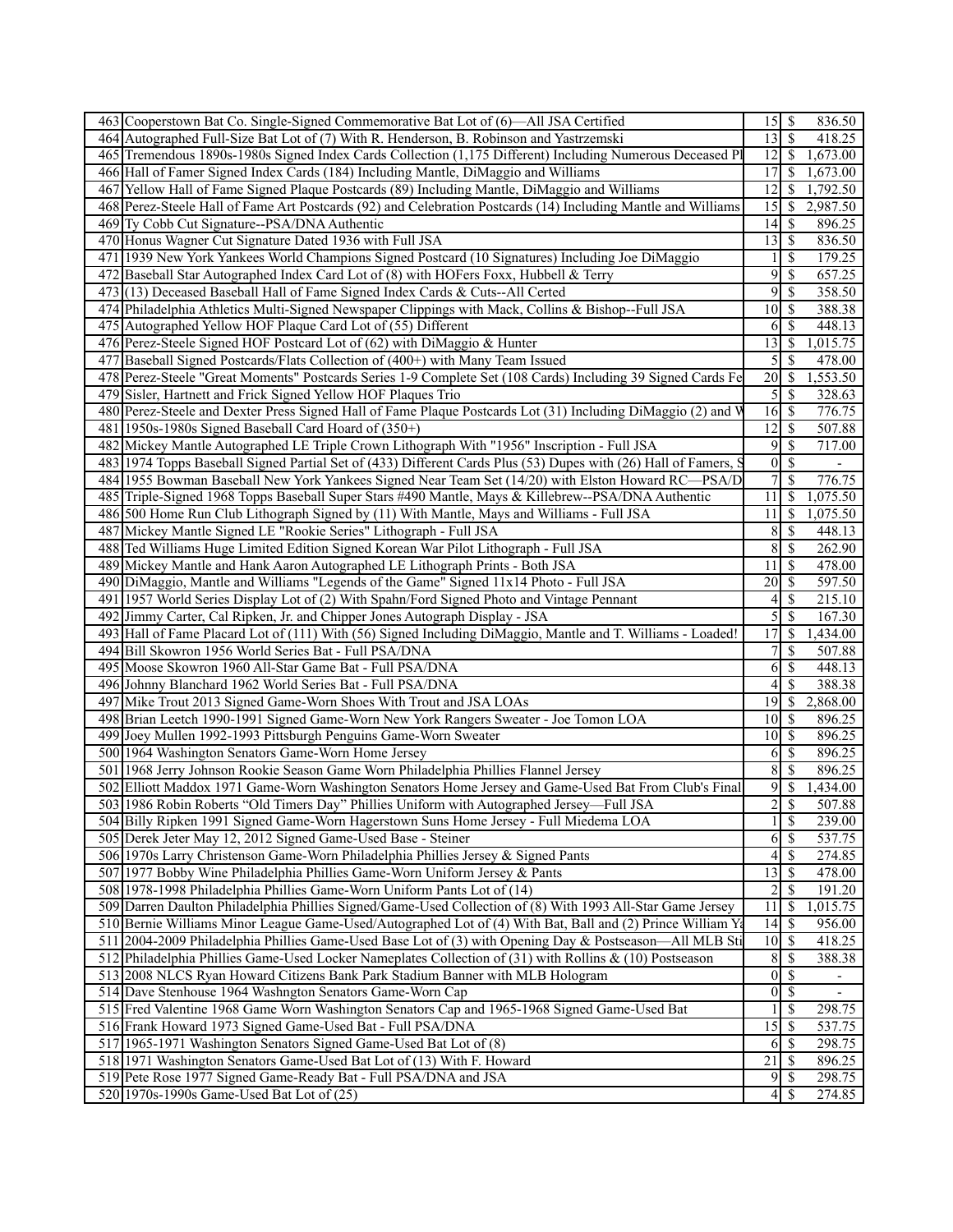| 463 Cooperstown Bat Co. Single-Signed Commemorative Bat Lot of (6)—All JSA Certified                          | $15 \mid$ \$                         | 836.50                               |  |
|---------------------------------------------------------------------------------------------------------------|--------------------------------------|--------------------------------------|--|
| 464 Autographed Full-Size Bat Lot of (7) With R. Henderson, B. Robinson and Yastrzemski                       | $13 \overline{\smash{)}\, \text{S}}$ | 418.25                               |  |
| 465 Tremendous 1890s-1980s Signed Index Cards Collection (1,175 Different) Including Numerous Deceased Pl     |                                      | $\overline{12}$ \$<br>1,673.00       |  |
| 466 Hall of Famer Signed Index Cards (184) Including Mantle, DiMaggio and Williams                            |                                      | $\overline{17}$ \$<br>1,673.00       |  |
| 467 Yellow Hall of Fame Signed Plaque Postcards (89) Including Mantle, DiMaggio and Williams                  | 12                                   | <sup>\$</sup><br>1,792.50            |  |
| 468 Perez-Steele Hall of Fame Art Postcards (92) and Celebration Postcards (14) Including Mantle and Williams | $\overline{15}$ \$                   | 2,987.50                             |  |
| 469 Ty Cobb Cut Signature--PSA/DNA Authentic                                                                  | $14 \overline{\smash{)}\,}$          | 896.25                               |  |
| 470 Honus Wagner Cut Signature Dated 1936 with Full JSA                                                       |                                      | 836.50                               |  |
| 471 1939 New York Yankees World Champions Signed Postcard (10 Signatures) Including Joe DiMaggio              |                                      | $1 \mid$ \$<br>179.25                |  |
| 472 Baseball Star Autographed Index Card Lot of (8) with HOFers Foxx, Hubbell & Terry                         | 9                                    | $\mathbb{S}$<br>657.25               |  |
|                                                                                                               | $\overline{9}$                       | $\mathcal{S}$<br>358.50              |  |
| 473 (13) Deceased Baseball Hall of Fame Signed Index Cards & Cuts--All Certed                                 |                                      | $\overline{10}$ \$                   |  |
| 474 Philadelphia Athletics Multi-Signed Newspaper Clippings with Mack, Collins & Bishop--Full JSA             |                                      | 388.38                               |  |
| 475 Autographed Yellow HOF Plaque Card Lot of (55) Different                                                  |                                      | $6 \mid$ \$<br>448.13                |  |
| 476 Perez-Steele Signed HOF Postcard Lot of (62) with DiMaggio & Hunter                                       | $13 \mid$ \$                         | 1,015.75                             |  |
| 477 Baseball Signed Postcards/Flats Collection of (400+) with Many Team Issued                                |                                      | $\overline{5 }$<br>478.00            |  |
| 478 Perez-Steele "Great Moments" Postcards Series 1-9 Complete Set (108 Cards) Including 39 Signed Cards Fe   | 20                                   | $\overline{\mathcal{S}}$<br>1,553.50 |  |
| 479 Sisler, Hartnett and Frick Signed Yellow HOF Plaques Trio                                                 | $\mathcal{S}$                        | <sup>\$</sup><br>328.63              |  |
| 480 Perez-Steele and Dexter Press Signed Hall of Fame Plaque Postcards Lot (31) Including DiMaggio (2) and V  |                                      | 776.75                               |  |
| 481 1950s-1980s Signed Baseball Card Hoard of (350+)                                                          | $\overline{12}$ \$                   | 507.88                               |  |
| 482 Mickey Mantle Autographed LE Triple Crown Lithograph With "1956" Inscription - Full JSA                   |                                      | $9 \overline{3}$<br>717.00           |  |
| 483 1974 Topps Baseball Signed Partial Set of (433) Different Cards Plus (53) Dupes with (26) Hall of Famers, |                                      | $0 \mid$ \$                          |  |
| 484 1955 Bowman Baseball New York Yankees Signed Near Team Set (14/20) with Elston Howard RC—PSA/D            | 7 <sup>1</sup>                       | $\overline{\mathcal{S}}$<br>776.75   |  |
| 485 Triple-Signed 1968 Topps Baseball Super Stars #490 Mantle, Mays & Killebrew--PSA/DNA Authentic            | $11 \mid$ \$                         | 1,075.50                             |  |
| 486 500 Home Run Club Lithograph Signed by (11) With Mantle, Mays and Williams - Full JSA                     | $11 \mid$ \$                         | 1,075.50                             |  |
| 487 Mickey Mantle Signed LE "Rookie Series" Lithograph - Full JSA                                             | 8                                    | $\mathbb{S}$<br>448.13               |  |
| 488 Ted Williams Huge Limited Edition Signed Korean War Pilot Lithograph - Full JSA                           |                                      | $8\sqrt{3}$<br>262.90                |  |
| 489 Mickey Mantle and Hank Aaron Autographed LE Lithograph Prints - Both JSA                                  | $11 \mid$ \$                         | 478.00                               |  |
| 490 DiMaggio, Mantle and Williams "Legends of the Game" Signed 11x14 Photo - Full JSA                         |                                      | 597.50                               |  |
| 491 1957 World Series Display Lot of (2) With Spahn/Ford Signed Photo and Vintage Pennant                     | 4 <sup>1</sup>                       | $\mathcal{S}$<br>215.10              |  |
| 492 Jimmy Carter, Cal Ripken, Jr. and Chipper Jones Autograph Display - JSA                                   |                                      | $\overline{5 S}$<br>167.30           |  |
| 493 Hall of Fame Placard Lot of (111) With (56) Signed Including DiMaggio, Mantle and T. Williams - Loaded!   | $17$ $\overline{\text{S}}$           | 1,434.00                             |  |
| 494 Bill Skowron 1956 World Series Bat - Full PSA/DNA                                                         |                                      | 7s<br>507.88                         |  |
| 495 Moose Skowron 1960 All-Star Game Bat - Full PSA/DNA                                                       |                                      | $6\sqrt{3}$<br>448.13                |  |
| 496 Johnny Blanchard 1962 World Series Bat - Full PSA/DNA                                                     | 41                                   | \$<br>388.38                         |  |
| 497 Mike Trout 2013 Signed Game-Worn Shoes With Trout and JSA LOAs                                            |                                      | $19$ \$<br>2,868.00                  |  |
|                                                                                                               | $10$   \$                            |                                      |  |
| 498 Brian Leetch 1990-1991 Signed Game-Worn New York Rangers Sweater - Joe Tomon LOA                          |                                      | 896.25                               |  |
| 499 Joey Mullen 1992-1993 Pittsburgh Penguins Game-Worn Sweater                                               | $10$   \$                            | 896.25                               |  |
| 500 1964 Washington Senators Game-Worn Home Jersey                                                            |                                      | $6 \mid$ \$<br>896.25                |  |
| 501 1968 Jerry Johnson Rookie Season Game Worn Philadelphia Phillies Flannel Jersey                           | 8                                    | $\mathcal{S}$<br>896.25              |  |
| 502 Elliott Maddox 1971 Game-Worn Washington Senators Home Jersey and Game-Used Bat From Club's Final         | $\overline{9}$                       | \$<br>1,434.00                       |  |
| 503 1986 Robin Roberts "Old Timers Day" Phillies Uniform with Autographed Jersey—Full JSA                     |                                      | $2 \overline{3}$<br>507.88           |  |
| 504 Billy Ripken 1991 Signed Game-Worn Hagerstown Suns Home Jersey - Full Miedema LOA                         |                                      | $1 \overline{\sqrt{}}$<br>239.00     |  |
| 505 Derek Jeter May 12, 2012 Signed Game-Used Base - Steiner                                                  |                                      | $6\sqrt{3}$<br>537.75                |  |
| 506 1970s Larry Christenson Game-Worn Philadelphia Phillies Jersey & Signed Pants                             |                                      | $4 \overline{3}$<br>274.85           |  |
| 507 1977 Bobby Wine Philadelphia Phillies Game-Worn Uniform Jersey & Pants                                    | $13 \mid$ \$                         | 478.00                               |  |
| 508 1978-1998 Philadelphia Phillies Game-Worn Uniform Pants Lot of (14)                                       | $\overline{2}$                       | \$<br>191.20                         |  |
| 509 Darren Daulton Philadelphia Phillies Signed/Game-Used Collection of (8) With 1993 All-Star Game Jersey    | $11 \mid$ \$                         | 1,015.75                             |  |
| 510 Bernie Williams Minor League Game-Used/Autographed Lot of (4) With Bat, Ball and (2) Prince William Yi    |                                      | 956.00                               |  |
| 511 2004-2009 Philadelphia Phillies Game-Used Base Lot of (3) with Opening Day & Postseason-All MLB Sti       |                                      | 418.25                               |  |
| 512 Philadelphia Phillies Game-Used Locker Nameplates Collection of (31) with Rollins & (10) Postseason       |                                      | 8S<br>388.38                         |  |
| 513 2008 NLCS Ryan Howard Citizens Bank Park Stadium Banner with MLB Hologram                                 |                                      | $\overline{0 S}$                     |  |
| 514 Dave Stenhouse 1964 Washngton Senators Game-Worn Cap                                                      | $\overline{0}$                       | <sup>\$</sup>                        |  |
| 515 Fred Valentine 1968 Game Worn Washington Senators Cap and 1965-1968 Signed Game-Used Bat                  |                                      | $1 \mid \$$<br>298.75                |  |
| 516 Frank Howard 1973 Signed Game-Used Bat - Full PSA/DNA                                                     | $\overline{15}$ \ $\overline{\$}$    | 537.75                               |  |
| 517 1965-1971 Washington Senators Signed Game-Used Bat Lot of (8)                                             |                                      | $6 \mid$ \$<br>298.75                |  |
| 518 1971 Washington Senators Game-Used Bat Lot of (13) With F. Howard                                         |                                      | 896.25                               |  |
| 519 Pete Rose 1977 Signed Game-Ready Bat - Full PSA/DNA and JSA                                               |                                      | 298.75                               |  |
| 520 1970s-1990s Game-Used Bat Lot of (25)                                                                     |                                      | $4\overline{3}$<br>274.85            |  |
|                                                                                                               |                                      |                                      |  |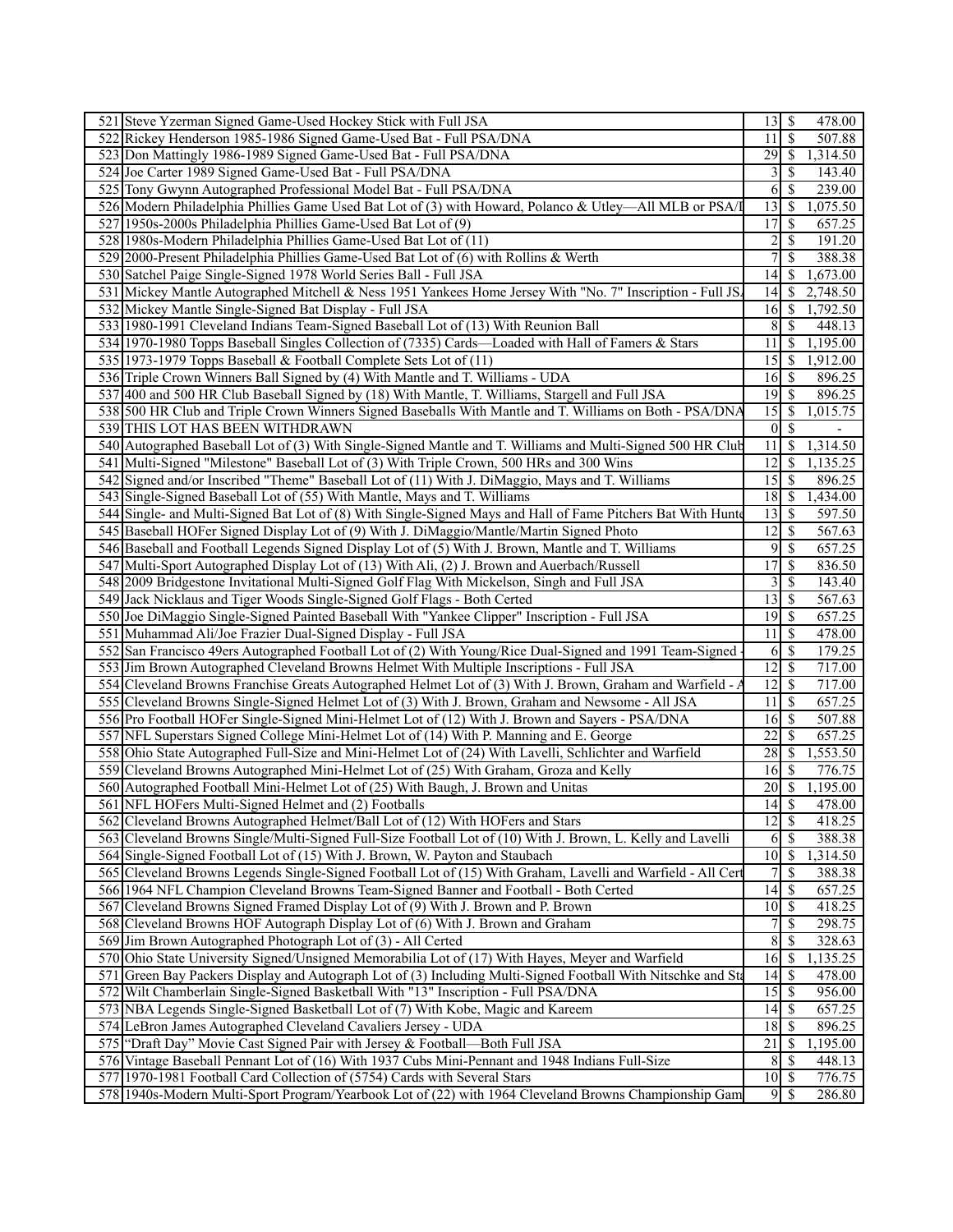| 521 Steve Yzerman Signed Game-Used Hockey Stick with Full JSA                                                                                                                      |                            |                          | 478.00              |
|------------------------------------------------------------------------------------------------------------------------------------------------------------------------------------|----------------------------|--------------------------|---------------------|
| Rickey Henderson 1985-1986 Signed Game-Used Bat - Full PSA/DNA<br>522                                                                                                              | 11                         | -S                       | 507.88              |
| 523<br>Don Mattingly 1986-1989 Signed Game-Used Bat - Full PSA/DNA                                                                                                                 | $29$   \$                  |                          | 1,314.50            |
| 524 Joe Carter 1989 Signed Game-Used Bat - Full PSA/DNA                                                                                                                            | 3                          | \$                       | 143.40              |
| 525 Tony Gwynn Autographed Professional Model Bat - Full PSA/DNA                                                                                                                   | 6                          | -S                       | 239.00              |
| 526 Modern Philadelphia Phillies Game Used Bat Lot of (3) with Howard, Polanco & Utley—All MLB or PSA/I                                                                            | 13                         | \$                       | 1,075.50            |
| 527<br>1950s-2000s Philadelphia Phillies Game-Used Bat Lot of (9)                                                                                                                  | 17                         | \$                       | 657.25              |
| 528 1980s-Modern Philadelphia Phillies Game-Used Bat Lot of (11)                                                                                                                   | $\overline{c}$             | $\mathcal{S}$            | 191.20              |
| 529 2000-Present Philadelphia Phillies Game-Used Bat Lot of (6) with Rollins & Werth                                                                                               |                            | \$                       | 388.38              |
| 530 Satchel Paige Single-Signed 1978 World Series Ball - Full JSA                                                                                                                  | 14 <sup>1</sup>            | S                        | 1,673.00            |
| 531 Mickey Mantle Autographed Mitchell & Ness 1951 Yankees Home Jersey With "No. 7" Inscription - Full JS.                                                                         | $14$ S                     |                          | 2,748.50            |
| 532 Mickey Mantle Single-Signed Bat Display - Full JSA                                                                                                                             | $16 \mid S$                |                          | 1,792.50            |
| 533 1980-1991 Cleveland Indians Team-Signed Baseball Lot of (13) With Reunion Ball                                                                                                 | 8                          | S                        | 448.13              |
|                                                                                                                                                                                    | 11                         |                          |                     |
| 534 1970-1980 Topps Baseball Singles Collection of (7335) Cards—Loaded with Hall of Famers & Stars                                                                                 |                            | -\$                      | 1,195.00            |
| 535 1973-1979 Topps Baseball & Football Complete Sets Lot of (11)                                                                                                                  | 15                         | -\$                      | 1,912.00            |
| 536 Triple Crown Winners Ball Signed by (4) With Mantle and T. Williams - UDA                                                                                                      | $16 \mid$ \$               |                          | 896.25              |
| 537 400 and 500 HR Club Baseball Signed by (18) With Mantle, T. Williams, Stargell and Full JSA                                                                                    | $19$ $\sqrt{5}$            |                          | 896.25              |
| 538 500 HR Club and Triple Crown Winners Signed Baseballs With Mantle and T. Williams on Both - PSA/DNA                                                                            | 15                         | -\$                      | 1,015.75            |
| 539 THIS LOT HAS BEEN WITHDRAWN                                                                                                                                                    | $\vert 0 \vert$            | $\sqrt{S}$               |                     |
| 540 Autographed Baseball Lot of (3) With Single-Signed Mantle and T. Williams and Multi-Signed 500 HR Club                                                                         | 11                         | -\$                      | 1,314.50            |
| Multi-Signed "Milestone" Baseball Lot of (3) With Triple Crown, 500 HRs and 300 Wins<br>541                                                                                        | 12                         | \$                       | 1,135.25            |
| 542 Signed and/or Inscribed "Theme" Baseball Lot of (11) With J. DiMaggio, Mays and T. Williams                                                                                    | 15                         | \$                       | 896.25              |
| 543 Single-Signed Baseball Lot of (55) With Mantle, Mays and T. Williams                                                                                                           | $18$   \$                  |                          | 1,434.00            |
| 544 Single- and Multi-Signed Bat Lot of (8) With Single-Signed Mays and Hall of Fame Pitchers Bat With Hunter                                                                      | 13                         | $\mathsf{S}$             | $\overline{597.50}$ |
| 545 Baseball HOFer Signed Display Lot of (9) With J. DiMaggio/Mantle/Martin Signed Photo                                                                                           | 12                         | S                        | $\overline{567.63}$ |
| 546 Baseball and Football Legends Signed Display Lot of (5) With J. Brown, Mantle and T. Williams                                                                                  | 9                          | $\mathsf{S}$             | 657.25              |
| Multi-Sport Autographed Display Lot of (13) With Ali, (2) J. Brown and Auerbach/Russell<br>547                                                                                     | 17                         | \$                       | 836.50              |
| 548 2009 Bridgestone Invitational Multi-Signed Golf Flag With Mickelson, Singh and Full JSA                                                                                        | 3                          | \$                       | 143.40              |
| 549 Jack Nicklaus and Tiger Woods Single-Signed Golf Flags - Both Certed                                                                                                           | 13                         | 8                        | 567.63              |
| 550 Joe DiMaggio Single-Signed Painted Baseball With "Yankee Clipper" Inscription - Full JSA                                                                                       | $19$ $\sqrt{5}$            |                          | 657.25              |
| 551 Muhammad Ali/Joe Frazier Dual-Signed Display - Full JSA                                                                                                                        | 11                         | <sup>\$</sup>            | 478.00              |
| 552<br>San Francisco 49ers Autographed Football Lot of (2) With Young/Rice Dual-Signed and 1991 Team-Signed                                                                        | 6                          | $\overline{\mathcal{S}}$ | 179.25              |
| 553<br>Jim Brown Autographed Cleveland Browns Helmet With Multiple Inscriptions - Full JSA                                                                                         | 12                         | $\mathcal{S}$            | 717.00              |
| 554<br>Leveland Browns Franchise Greats Autographed Helmet Lot of (3) With J. Brown, Graham and Warfield - .                                                                       | 12                         | \$                       | 717.00              |
| 555 Cleveland Browns Single-Signed Helmet Lot of (3) With J. Brown, Graham and Newsome - All JSA                                                                                   | 11                         | 8                        | 657.25              |
| 556 Pro Football HOFer Single-Signed Mini-Helmet Lot of (12) With J. Brown and Sayers - PSA/DNA                                                                                    | $16 \mid$ \$               |                          | 507.88              |
| 557 NFL Superstars Signed College Mini-Helmet Lot of (14) With P. Manning and E. George                                                                                            | 22                         | S                        | 657.25              |
| 558<br>Ohio State Autographed Full-Size and Mini-Helmet Lot of (24) With Lavelli, Schlichter and Warfield                                                                          | 28                         | 8                        | 1,553.50            |
| 559<br>Cleveland Browns Autographed Mini-Helmet Lot of (25) With Graham, Groza and Kelly                                                                                           | 16                         | \$                       | 776.75              |
| 560 Autographed Football Mini-Helmet Lot of (25) With Baugh, J. Brown and Unitas                                                                                                   | 20                         | \$                       | 1,195.00            |
| 561 NFL HOFers Multi-Signed Helmet and (2) Footballs                                                                                                                               | $\overline{14}$ \$         |                          | 478.00              |
| 562 Cleveland Browns Autographed Helmet/Ball Lot of (12) With HOFers and Stars                                                                                                     | $12 \mid$ \$               |                          | 418.25              |
| Cleveland Browns Single/Multi-Signed Full-Size Football Lot of (10) With J. Brown, L. Kelly and Lavelli<br>563                                                                     | 6                          | $\mathcal{S}$            | 388.38              |
| 564 Single-Signed Football Lot of (15) With J. Brown, W. Payton and Staubach                                                                                                       | $\overline{10}$ \$         |                          | 1,314.50            |
|                                                                                                                                                                                    |                            |                          | 388.38              |
|                                                                                                                                                                                    | 7                          |                          | 657.25              |
| 565 Cleveland Browns Legends Single-Signed Football Lot of (15) With Graham, Lavelli and Warfield - All Cert                                                                       |                            | S                        |                     |
| 566 1964 NFL Champion Cleveland Browns Team-Signed Banner and Football - Both Certed                                                                                               |                            |                          |                     |
| 567 Cleveland Browns Signed Framed Display Lot of (9) With J. Brown and P. Brown                                                                                                   | $10\overline{\smash{)}\,}$ |                          | 418.25              |
| 568 Cleveland Browns HOF Autograph Display Lot of (6) With J. Brown and Graham                                                                                                     | 7                          | \$                       | 298.75              |
| 569 Jim Brown Autographed Photograph Lot of (3) - All Certed                                                                                                                       | 8                          | \$                       | 328.63              |
| 570<br>Ohio State University Signed/Unsigned Memorabilia Lot of (17) With Hayes, Meyer and Warfield                                                                                | 16                         | -\$                      | 1,135.25            |
| 571<br>Green Bay Packers Display and Autograph Lot of (3) Including Multi-Signed Football With Nitschke and Sta                                                                    | 14                         | $\mathcal{S}$            | 478.00              |
| 572<br>Wilt Chamberlain Single-Signed Basketball With "13" Inscription - Full PSA/DNA                                                                                              | $\overline{15}$            | l \$                     | 956.00              |
| 573 NBA Legends Single-Signed Basketball Lot of (7) With Kobe, Magic and Kareem                                                                                                    | 14                         | l S                      | 657.25              |
| 574 LeBron James Autographed Cleveland Cavaliers Jersey - UDA                                                                                                                      | 18                         | \$                       | 896.25              |
| 575 "Draft Day" Movie Cast Signed Pair with Jersey & Football—Both Full JSA                                                                                                        | $\overline{21}$            | -S                       | 1,195.00            |
| 576 Vintage Baseball Pennant Lot of (16) With 1937 Cubs Mini-Pennant and 1948 Indians Full-Size                                                                                    | 8                          | -S                       | 448.13              |
| 577 1970-1981 Football Card Collection of (5754) Cards with Several Stars<br>578 1940s-Modern Multi-Sport Program/Yearbook Lot of (22) with 1964 Cleveland Browns Championship Gam | $10$ $\sqrt{ }$<br>95      |                          | 776.75<br>286.80    |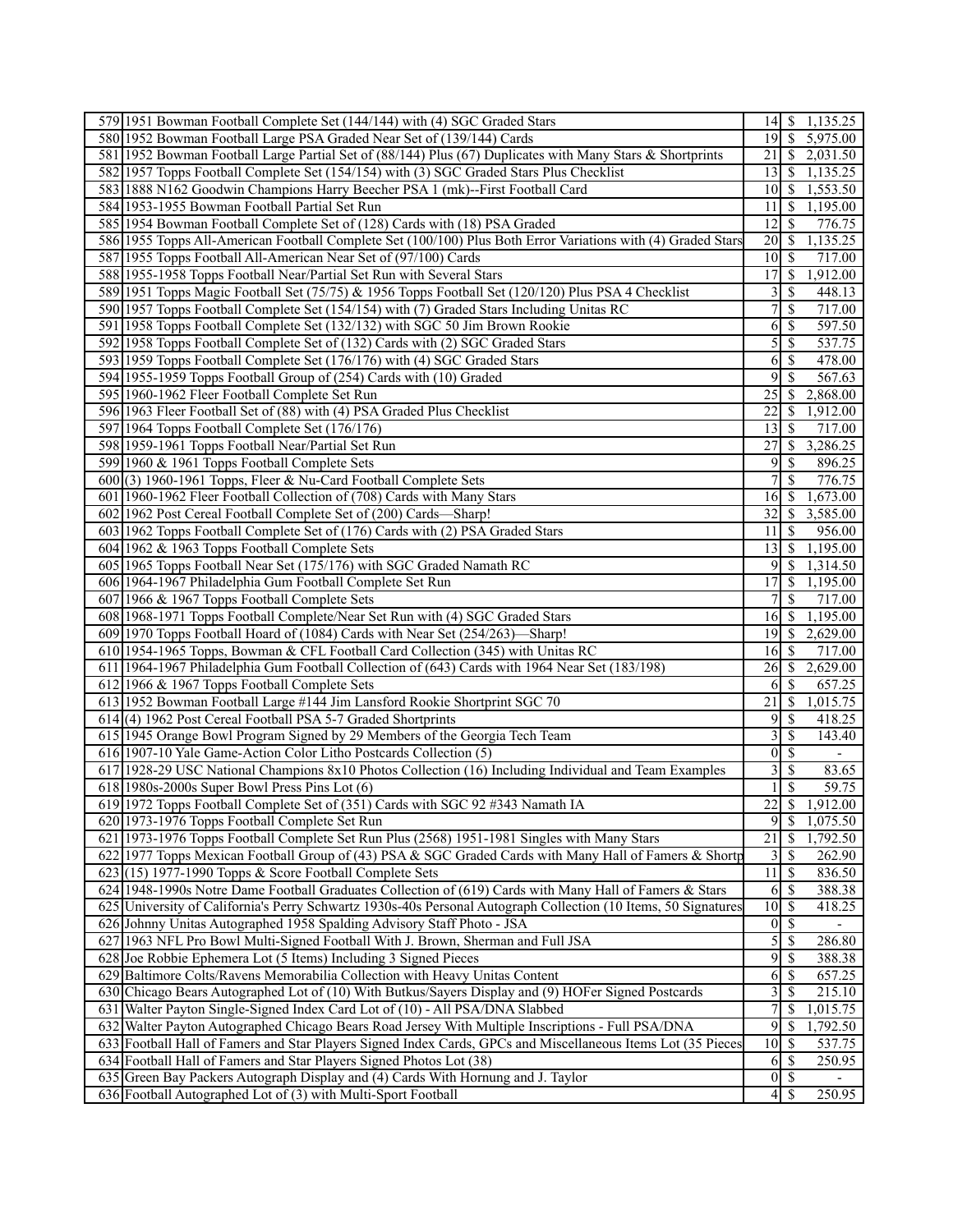| 579 1951 Bowman Football Complete Set (144/144) with (4) SGC Graded Stars                                                            |                    |                          | 14 \$ 1,135.25              |  |
|--------------------------------------------------------------------------------------------------------------------------------------|--------------------|--------------------------|-----------------------------|--|
| 580 1952 Bowman Football Large PSA Graded Near Set of (139/144) Cards                                                                |                    |                          | $\overline{19}$ \$ 5,975.00 |  |
| 581 1952 Bowman Football Large Partial Set of (88/144) Plus (67) Duplicates with Many Stars & Shortprints                            |                    |                          | 21 \$ 2,031.50              |  |
| 582 1957 Topps Football Complete Set (154/154) with (3) SGC Graded Stars Plus Checklist                                              | 13 <sup>1</sup>    | <sup>\$</sup>            | 1,135.25                    |  |
| 583 1888 N162 Goodwin Champions Harry Beecher PSA 1 (mk)--First Football Card                                                        | 10 <sup> </sup>    |                          | \$1,553.50                  |  |
| 584 1953-1955 Bowman Football Partial Set Run                                                                                        | 11                 | <sup>\$</sup>            | 1,195.00                    |  |
| 585 1954 Bowman Football Complete Set of (128) Cards with (18) PSA Graded                                                            | 12                 | <sup>\$</sup>            | 776.75                      |  |
| 586 1955 Topps All-American Football Complete Set (100/100) Plus Both Error Variations with (4) Graded Stars                         | $\overline{20}$ \$ |                          | 1,135.25                    |  |
| 587 1955 Topps Football All-American Near Set of (97/100) Cards                                                                      | $101$ S            |                          | 717.00                      |  |
| 588 1955-1958 Topps Football Near/Partial Set Run with Several Stars                                                                 | 17 <sup>1</sup>    | <sup>\$</sup>            | 1,912.00                    |  |
|                                                                                                                                      |                    |                          |                             |  |
| 589 1951 Topps Magic Football Set (75/75) & 1956 Topps Football Set (120/120) Plus PSA 4 Checklist                                   | 3<br>7             | <sup>\$</sup>            | 448.13                      |  |
| 590 1957 Topps Football Complete Set (154/154) with (7) Graded Stars Including Unitas RC                                             |                    | \$                       | 717.00                      |  |
| 591 1958 Topps Football Complete Set (132/132) with SGC 50 Jim Brown Rookie                                                          | 61                 | \$                       | 597.50                      |  |
| 592 1958 Topps Football Complete Set of (132) Cards with (2) SGC Graded Stars                                                        | $\mathfrak{S}$     | $\mathbb{S}$             | 537.75                      |  |
| 593 1959 Topps Football Complete Set (176/176) with (4) SGC Graded Stars                                                             | 61                 | <sup>\$</sup>            | 478.00                      |  |
| 594 1955-1959 Topps Football Group of (254) Cards with (10) Graded                                                                   | 9                  | <sup>\$</sup>            | 567.63                      |  |
| 595 1960-1962 Fleer Football Complete Set Run                                                                                        | 25                 | <sup>S</sup>             | 2,868.00                    |  |
| 596 1963 Fleer Football Set of (88) with (4) PSA Graded Plus Checklist                                                               | 22                 | -S                       | 1,912.00                    |  |
| 597 1964 Topps Football Complete Set (176/176)                                                                                       | 13                 | -S                       | 717.00                      |  |
| 598 1959-1961 Topps Football Near/Partial Set Run                                                                                    | 27                 | <sup>\$</sup>            | 3,286.25                    |  |
| 599 1960 & 1961 Topps Football Complete Sets                                                                                         | 9                  | <sup>\$</sup>            | 896.25                      |  |
| 600(3) 1960-1961 Topps, Fleer & Nu-Card Football Complete Sets                                                                       |                    | <sup>\$</sup>            | 776.75                      |  |
| 601 1960-1962 Fleer Football Collection of (708) Cards with Many Stars                                                               | 16 <sup> </sup>    | <sup>\$</sup>            | 1,673.00                    |  |
| 602 1962 Post Cereal Football Complete Set of (200) Cards—Sharp!                                                                     | 32                 |                          | \$3,585.00                  |  |
| 603 1962 Topps Football Complete Set of (176) Cards with (2) PSA Graded Stars                                                        | 11 <sup>1</sup>    | <sup>\$</sup>            | 956.00                      |  |
| 604 1962 & 1963 Topps Football Complete Sets                                                                                         | 13                 | $\overline{\mathcal{S}}$ | 1,195.00                    |  |
| 605 1965 Topps Football Near Set (175/176) with SGC Graded Namath RC                                                                 | 91                 | $\mathbb{S}$             | 1,314.50                    |  |
| 606 1964-1967 Philadelphia Gum Football Complete Set Run                                                                             | 17                 | <sup>\$</sup>            | 1,195.00                    |  |
| 607 1966 & 1967 Topps Football Complete Sets                                                                                         |                    | \$                       | 717.00                      |  |
| 608 1968-1971 Topps Football Complete/Near Set Run with (4) SGC Graded Stars                                                         | 16 <sup> </sup>    | <sup>\$</sup>            | 1,195.00                    |  |
| 609 1970 Topps Football Hoard of (1084) Cards with Near Set (254/263)—Sharp!                                                         | 19                 | $\mathbb{S}$             | 2,629.00                    |  |
| 610 1954-1965 Topps, Bowman & CFL Football Card Collection (345) with Unitas RC                                                      | 16                 | <sup>\$</sup>            | 717.00                      |  |
| 611 1964-1967 Philadelphia Gum Football Collection of (643) Cards with 1964 Near Set (183/198)                                       | 26                 | <sup>\$</sup>            | 2,629.00                    |  |
| 612 1966 & 1967 Topps Football Complete Sets                                                                                         | 6                  | <sup>\$</sup>            | 657.25                      |  |
| 613 1952 Bowman Football Large #144 Jim Lansford Rookie Shortprint SGC 70                                                            | 21                 | <sup>\$</sup>            | 1,015.75                    |  |
| 614 (4) 1962 Post Cereal Football PSA 5-7 Graded Shortprints                                                                         | 9                  | <sup>\$</sup>            | 418.25                      |  |
| 615 1945 Orange Bowl Program Signed by 29 Members of the Georgia Tech Team                                                           | $\overline{3}$     | $\mathbb{S}$             | 143.40                      |  |
| 616 1907-10 Yale Game-Action Color Litho Postcards Collection (5)                                                                    | $\overline{0}$     | $\mathbb{S}$             |                             |  |
| 617 1928-29 USC National Champions 8x10 Photos Collection (16) Including Individual and Team Examples                                | $\overline{3}$     | $\mathbb{S}$             | 83.65                       |  |
|                                                                                                                                      |                    | \$                       | 59.75                       |  |
| $618$  1980s-2000s Super Bowl Press Pins Lot $(6)$<br>619 1972 Topps Football Complete Set of (351) Cards with SGC 92 #343 Namath IA | 22                 | $\overline{\mathcal{S}}$ | 1,912.00                    |  |
| 620 1973-1976 Topps Football Complete Set Run                                                                                        |                    |                          | $9 \ \ 1,075.50$            |  |
|                                                                                                                                      | 21                 |                          |                             |  |
| 621 1973-1976 Topps Football Complete Set Run Plus (2568) 1951-1981 Singles with Many Stars                                          |                    | $\mathbb{S}$             | 1,792.50                    |  |
| 622 1977 Topps Mexican Football Group of (43) PSA & SGC Graded Cards with Many Hall of Famers & Shortp                               | $\frac{3}{2}$      | $\mathbb{S}$             | 262.90                      |  |
| $623(15)$ 1977-1990 Topps & Score Football Complete Sets                                                                             | $11 \mid$ \$       |                          | 836.50                      |  |
| 624 1948-1990s Notre Dame Football Graduates Collection of (619) Cards with Many Hall of Famers & Stars                              | 6                  | $\mathbb{S}$             | 388.38                      |  |
| 625 University of California's Perry Schwartz 1930s-40s Personal Autograph Collection (10 Items, 50 Signatures                       | 10                 | $\mathbb{S}$             | 418.25                      |  |
| 626 Johnny Unitas Autographed 1958 Spalding Advisory Staff Photo - JSA                                                               | $\overline{0}$     | $\mathbb{S}$             |                             |  |
| 627 1963 NFL Pro Bowl Multi-Signed Football With J. Brown, Sherman and Full JSA                                                      | $\mathfrak{S}$     | $\mathbb{S}$             | 286.80                      |  |
| 628 Joe Robbie Ephemera Lot (5 Items) Including 3 Signed Pieces                                                                      | 9                  | $\mathbb{S}$             | 388.38                      |  |
| 629 Baltimore Colts/Ravens Memorabilia Collection with Heavy Unitas Content                                                          | 61                 | $\mathbb{S}$             | 657.25                      |  |
| 630 Chicago Bears Autographed Lot of (10) With Butkus/Sayers Display and (9) HOFer Signed Postcards                                  | 3                  | <sup>\$</sup>            | 215.10                      |  |
| 631 Walter Payton Single-Signed Index Card Lot of (10) - All PSA/DNA Slabbed                                                         |                    | $\mathbb{S}$             | 1,015.75                    |  |
| 632 Walter Payton Autographed Chicago Bears Road Jersey With Multiple Inscriptions - Full PSA/DNA                                    | $\overline{9}$     | \$                       | 1,792.50                    |  |
| 633 Football Hall of Famers and Star Players Signed Index Cards, GPCs and Miscellaneous Items Lot (35 Pieces                         | 10                 | -S                       | 537.75                      |  |
| 634 Football Hall of Famers and Star Players Signed Photos Lot (38)                                                                  | 61                 | <sup>\$</sup>            | 250.95                      |  |
| 635 Green Bay Packers Autograph Display and (4) Cards With Hornung and J. Taylor                                                     | $\overline{0}$     | -S                       |                             |  |
| 636 Football Autographed Lot of (3) with Multi-Sport Football                                                                        | $\vert 4 \vert$    | $\mathbb{S}$             | 250.95                      |  |
|                                                                                                                                      |                    |                          |                             |  |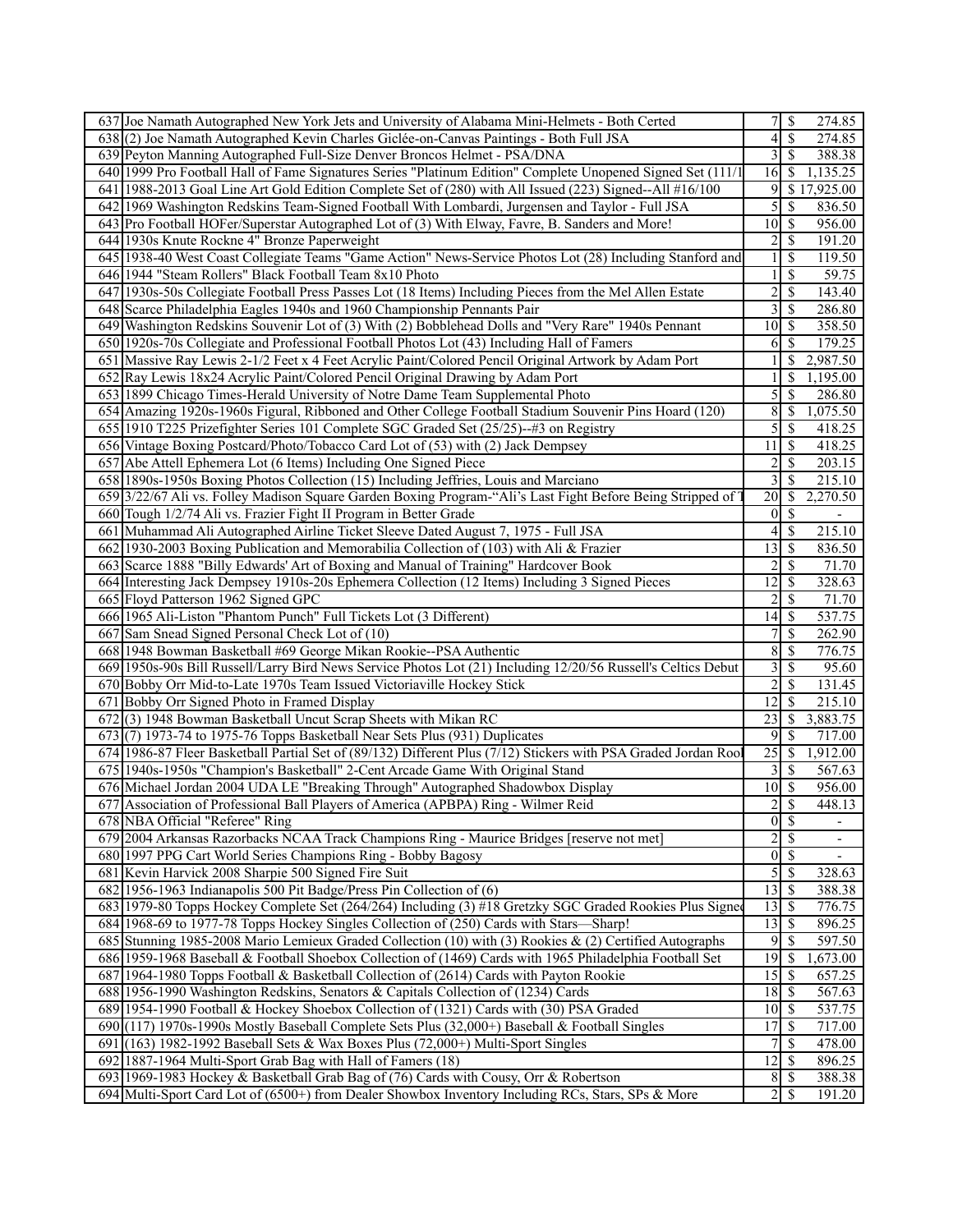| 637 Joe Namath Autographed New York Jets and University of Alabama Mini-Helmets - Both Certed                                                                                              | 7 <sup>1</sup>     | \$<br>274.85                                    |
|--------------------------------------------------------------------------------------------------------------------------------------------------------------------------------------------|--------------------|-------------------------------------------------|
| 638(2) Joe Namath Autographed Kevin Charles Giclée-on-Canvas Paintings - Both Full JSA                                                                                                     | 4 <sup>1</sup>     | \$<br>274.85                                    |
| 639 Peyton Manning Autographed Full-Size Denver Broncos Helmet - PSA/DNA                                                                                                                   |                    | $3 \overline{\smash{)}8}$<br>388.38             |
| 640 1999 Pro Football Hall of Fame Signatures Series "Platinum Edition" Complete Unopened Signed Set (111/1                                                                                | 16                 | \$<br>1,135.25                                  |
| 641 1988-2013 Goal Line Art Gold Edition Complete Set of (280) with All Issued (223) Signed--All #16/100                                                                                   | 9                  | \$17,925.00                                     |
| 642 1969 Washington Redskins Team-Signed Football With Lombardi, Jurgensen and Taylor - Full JSA                                                                                           | $\overline{5}$     | \$<br>836.50                                    |
| 643 Pro Football HOFer/Superstar Autographed Lot of (3) With Elway, Favre, B. Sanders and More!                                                                                            | $10$   \$          | 956.00                                          |
| 644 1930s Knute Rockne 4" Bronze Paperweight                                                                                                                                               | $\overline{2}$     | \$<br>191.20                                    |
| 645 1938-40 West Coast Collegiate Teams "Game Action" News-Service Photos Lot (28) Including Stanford and                                                                                  |                    | \$<br>119.50                                    |
| 646 1944 "Steam Rollers" Black Football Team 8x10 Photo                                                                                                                                    |                    | \$<br>59.75                                     |
| 647 1930s-50s Collegiate Football Press Passes Lot (18 Items) Including Pieces from the Mel Allen Estate                                                                                   | $\overline{2}$     | \$<br>143.40                                    |
| 648 Scarce Philadelphia Eagles 1940s and 1960 Championship Pennants Pair                                                                                                                   | $\overline{3}$     | \$<br>286.80                                    |
| 649 Washington Redskins Souvenir Lot of (3) With (2) Bobblehead Dolls and "Very Rare" 1940s Pennant                                                                                        | $10$   \$          | 358.50                                          |
| 650 1920s-70s Collegiate and Professional Football Photos Lot (43) Including Hall of Famers                                                                                                | 6                  | \$<br>179.25                                    |
| 651 Massive Ray Lewis 2-1/2 Feet x 4 Feet Acrylic Paint/Colored Pencil Original Artwork by Adam Port                                                                                       |                    | \$<br>2,987.50                                  |
| 652 Ray Lewis 18x24 Acrylic Paint/Colored Pencil Original Drawing by Adam Port                                                                                                             |                    | \$<br>1,195.00                                  |
| 653 1899 Chicago Times-Herald University of Notre Dame Team Supplemental Photo                                                                                                             | 5                  | \$<br>286.80                                    |
| 654 Amazing 1920s-1960s Figural, Ribboned and Other College Football Stadium Souvenir Pins Hoard (120)                                                                                     | 8                  | <sup>\$</sup><br>1,075.50                       |
| 655 1910 T225 Prizefighter Series 101 Complete SGC Graded Set (25/25)--#3 on Registry                                                                                                      | $\overline{5}$     | <sup>\$</sup><br>418.25                         |
| 656 Vintage Boxing Postcard/Photo/Tobacco Card Lot of (53) with (2) Jack Dempsey                                                                                                           | $11 \mid$ \$       | 418.25                                          |
| 657 Abe Attell Ephemera Lot (6 Items) Including One Signed Piece                                                                                                                           | $\overline{2}$     | \$<br>203.15                                    |
| 658 1890s-1950s Boxing Photos Collection (15) Including Jeffries, Louis and Marciano                                                                                                       | $\overline{3}$     | \$<br>215.10                                    |
| 659[3/22/67 Ali vs. Folley Madison Square Garden Boxing Program-"Ali's Last Fight Before Being Stripped of                                                                                 | 20                 | \$<br>2,270.50                                  |
| 660 Tough 1/2/74 Ali vs. Frazier Fight II Program in Better Grade                                                                                                                          | $0\vert$ \$        | $\overline{\phantom{a}}$                        |
| 661 Muhammad Ali Autographed Airline Ticket Sleeve Dated August 7, 1975 - Full JSA                                                                                                         | $\overline{4}$     | \$<br>215.10                                    |
| 662 1930-2003 Boxing Publication and Memorabilia Collection of (103) with Ali & Frazier                                                                                                    | 13                 | \$<br>836.50                                    |
| 663 Scarce 1888 "Billy Edwards' Art of Boxing and Manual of Training" Hardcover Book                                                                                                       | $2$ \ $\sqrt{3}$   | 71.70                                           |
| 664 Interesting Jack Dempsey 1910s-20s Ephemera Collection (12 Items) Including 3 Signed Pieces                                                                                            | 12                 | \$<br>328.63                                    |
| 665 Floyd Patterson 1962 Signed GPC                                                                                                                                                        | $\overline{2}$     | \$<br>71.70                                     |
| 666 1965 Ali-Liston "Phantom Punch" Full Tickets Lot (3 Different)                                                                                                                         | 14                 | S<br>537.75                                     |
| 667 Sam Snead Signed Personal Check Lot of (10)                                                                                                                                            | 7                  | \$<br>262.90                                    |
| 668 1948 Bowman Basketball #69 George Mikan Rookie--PSA Authentic                                                                                                                          | $\overline{8}$     | \$<br>776.75                                    |
| 669 1950s-90s Bill Russell/Larry Bird News Service Photos Lot (21) Including 12/20/56 Russell's Celtics Debut                                                                              | $\overline{3}$     |                                                 |
| 670 Bobby Orr Mid-to-Late 1970s Team Issued Victoriaville Hockey Stick                                                                                                                     |                    |                                                 |
|                                                                                                                                                                                            |                    | <sup>\$</sup><br>95.60                          |
|                                                                                                                                                                                            | $\overline{2}$     | \$<br>131.45                                    |
| 671 Bobby Orr Signed Photo in Framed Display                                                                                                                                               | 12                 | \$<br>215.10                                    |
| 672(3) 1948 Bowman Basketball Uncut Scrap Sheets with Mikan RC                                                                                                                             | 23                 | 3,883.75<br>-S                                  |
| 673(7) 1973-74 to 1975-76 Topps Basketball Near Sets Plus (931) Duplicates                                                                                                                 | 9                  | <sup>\$</sup><br>717.00                         |
| 674 1986-87 Fleer Basketball Partial Set of (89/132) Different Plus (7/12) Stickers with PSA Graded Jordan Roo                                                                             | $25 \mid$ \$       | 1,912.00                                        |
| 675 1940s-1950s "Champion's Basketball" 2-Cent Arcade Game With Original Stand                                                                                                             | $\overline{3}$     | <sup>\$</sup><br>567.63                         |
| 676 Michael Jordan 2004 UDA LE "Breaking Through" Autographed Shadowbox Display                                                                                                            | 10 <sup>1</sup>    | \$<br>956.00                                    |
| 677 Association of Professional Ball Players of America (APBPA) Ring - Wilmer Reid                                                                                                         | $\overline{2}$     | \$<br>448.13                                    |
| 678 NBA Official "Referee" Ring                                                                                                                                                            |                    | $0 \mid \mathsf{S}$<br>$\overline{\phantom{a}}$ |
| 679 2004 Arkansas Razorbacks NCAA Track Champions Ring - Maurice Bridges [reserve not met]                                                                                                 | 2s                 |                                                 |
| 680 1997 PPG Cart World Series Champions Ring - Bobby Bagosy                                                                                                                               |                    | $0 \mid \mathsf{S}$                             |
| 681 Kevin Harvick 2008 Sharpie 500 Signed Fire Suit                                                                                                                                        |                    | $5\overline{\smash{)}\,}$<br>328.63             |
| 682 1956-1963 Indianapolis 500 Pit Badge/Press Pin Collection of (6)                                                                                                                       | 13S                | 388.38                                          |
| 683 1979-80 Topps Hockey Complete Set (264/264) Including (3) #18 Gretzky SGC Graded Rookies Plus Signed                                                                                   | $\overline{13}$ \$ | 776.75                                          |
| 684 1968-69 to 1977-78 Topps Hockey Singles Collection of (250) Cards with Stars—Sharp!                                                                                                    |                    | 896.25                                          |
| 685 Stunning 1985-2008 Mario Lemieux Graded Collection (10) with (3) Rookies & (2) Certified Autographs                                                                                    |                    | $9 \mid S$<br>597.50                            |
| 686 1959-1968 Baseball & Football Shoebox Collection of (1469) Cards with 1965 Philadelphia Football Set                                                                                   | $19$ \$            | 1,673.00                                        |
| 687 1964-1980 Topps Football & Basketball Collection of (2614) Cards with Payton Rookie                                                                                                    |                    | 657.25                                          |
| 688 1956-1990 Washington Redskins, Senators & Capitals Collection of (1234) Cards                                                                                                          | $18 \mid$ \$       | 567.63                                          |
| 689 1954-1990 Football & Hockey Shoebox Collection of (1321) Cards with (30) PSA Graded                                                                                                    | $10 \mid$ \$       | 537.75                                          |
| 690 $(117)$ 1970s-1990s Mostly Baseball Complete Sets Plus (32,000+) Baseball & Football Singles                                                                                           | $\overline{17}$ \$ | 717.00                                          |
| 691 (163) 1982-1992 Baseball Sets & Wax Boxes Plus (72,000+) Multi-Sport Singles                                                                                                           |                    | $\mathbb{S}$<br>478.00                          |
| 692 1887-1964 Multi-Sport Grab Bag with Hall of Famers (18)                                                                                                                                | $12 \mid$ \$       | 896.25                                          |
| 693 1969-1983 Hockey & Basketball Grab Bag of (76) Cards with Cousy, Orr & Robertson<br>694 Multi-Sport Card Lot of (6500+) from Dealer Showbox Inventory Including RCs, Stars, SPs & More | $\overline{2}$     | $8 \mid S$<br>388.38<br>\$<br>191.20            |